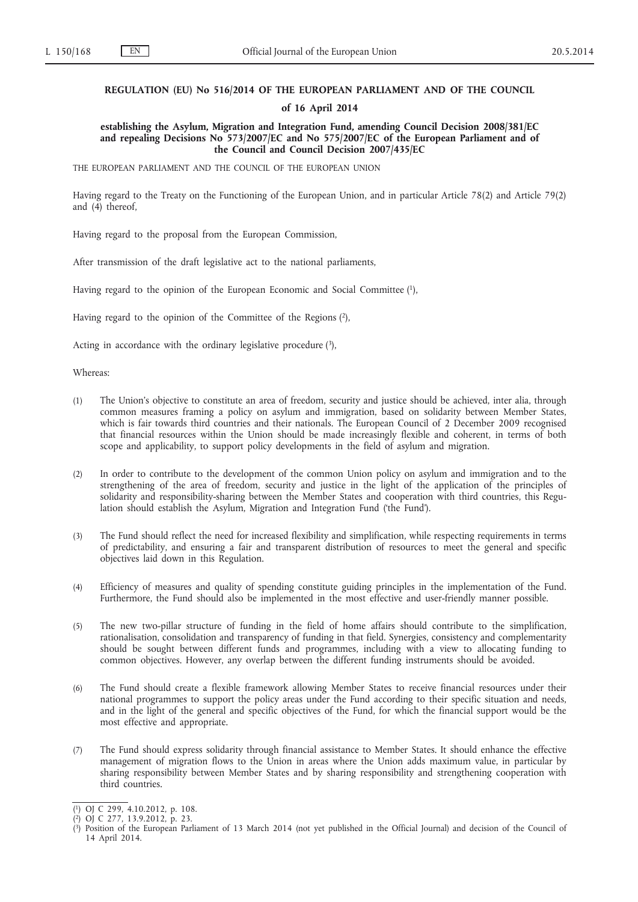## **REGULATION (EU) No 516/2014 OF THE EUROPEAN PARLIAMENT AND OF THE COUNCIL**

### **of 16 April 2014**

**establishing the Asylum, Migration and Integration Fund, amending Council Decision 2008/381/EC and repealing Decisions No 573/2007/EC and No 575/2007/EC of the European Parliament and of the Council and Council Decision 2007/435/EC**

THE EUROPEAN PARLIAMENT AND THE COUNCIL OF THE EUROPEAN UNION

Having regard to the Treaty on the Functioning of the European Union, and in particular Article 78(2) and Article 79(2) and (4) thereof,

Having regard to the proposal from the European Commission,

After transmission of the draft legislative act to the national parliaments,

Having regard to the opinion of the European Economic and Social Committee (1),

Having regard to the opinion of the Committee of the Regions (2),

Acting in accordance with the ordinary legislative procedure (3),

Whereas:

- (1) The Union's objective to constitute an area of freedom, security and justice should be achieved, inter alia, through common measures framing a policy on asylum and immigration, based on solidarity between Member States, which is fair towards third countries and their nationals. The European Council of 2 December 2009 recognised that financial resources within the Union should be made increasingly flexible and coherent, in terms of both scope and applicability, to support policy developments in the field of asylum and migration.
- (2) In order to contribute to the development of the common Union policy on asylum and immigration and to the strengthening of the area of freedom, security and justice in the light of the application of the principles of solidarity and responsibility-sharing between the Member States and cooperation with third countries, this Regulation should establish the Asylum, Migration and Integration Fund ('the Fund').
- (3) The Fund should reflect the need for increased flexibility and simplification, while respecting requirements in terms of predictability, and ensuring a fair and transparent distribution of resources to meet the general and specific objectives laid down in this Regulation.
- (4) Efficiency of measures and quality of spending constitute guiding principles in the implementation of the Fund. Furthermore, the Fund should also be implemented in the most effective and user-friendly manner possible.
- (5) The new two-pillar structure of funding in the field of home affairs should contribute to the simplification, rationalisation, consolidation and transparency of funding in that field. Synergies, consistency and complementarity should be sought between different funds and programmes, including with a view to allocating funding to common objectives. However, any overlap between the different funding instruments should be avoided.
- (6) The Fund should create a flexible framework allowing Member States to receive financial resources under their national programmes to support the policy areas under the Fund according to their specific situation and needs, and in the light of the general and specific objectives of the Fund, for which the financial support would be the most effective and appropriate.
- (7) The Fund should express solidarity through financial assistance to Member States. It should enhance the effective management of migration flows to the Union in areas where the Union adds maximum value, in particular by sharing responsibility between Member States and by sharing responsibility and strengthening cooperation with third countries.

<sup>(</sup> 1) OJ C 299, 4.10.2012, p. 108.

<sup>(</sup> 2) OJ C 277, 13.9.2012, p. 23.

<sup>(</sup> 3) Position of the European Parliament of 13 March 2014 (not yet published in the Official Journal) and decision of the Council of 14 April 2014.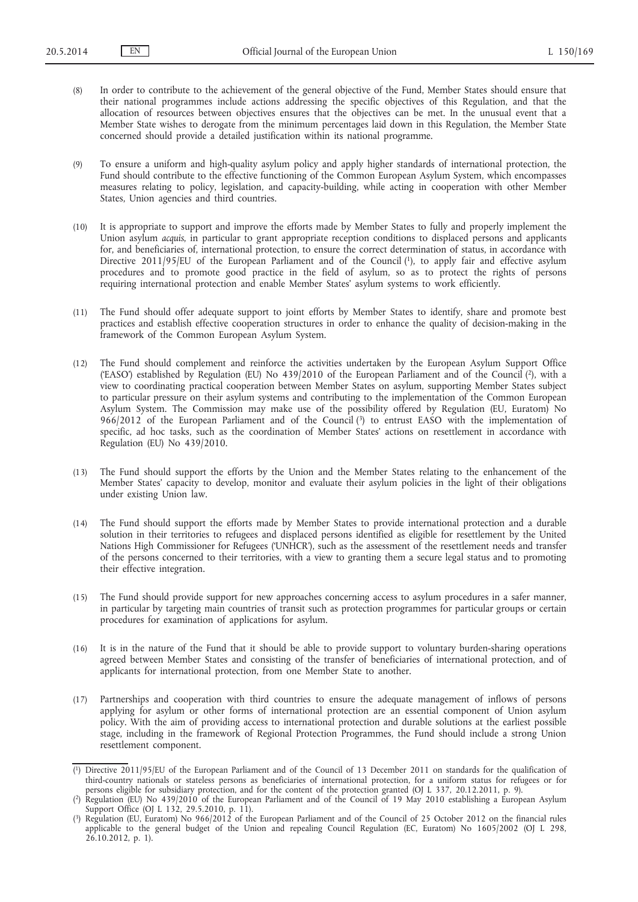(8) In order to contribute to the achievement of the general objective of the Fund, Member States should ensure that their national programmes include actions addressing the specific objectives of this Regulation, and that the allocation of resources between objectives ensures that the objectives can be met. In the unusual event that a Member State wishes to derogate from the minimum percentages laid down in this Regulation, the Member State concerned should provide a detailed justification within its national programme.

(9) To ensure a uniform and high-quality asylum policy and apply higher standards of international protection, the Fund should contribute to the effective functioning of the Common European Asylum System, which encompasses measures relating to policy, legislation, and capacity-building, while acting in cooperation with other Member States, Union agencies and third countries.

- (10) It is appropriate to support and improve the efforts made by Member States to fully and properly implement the Union asylum *acquis*, in particular to grant appropriate reception conditions to displaced persons and applicants for, and beneficiaries of, international protection, to ensure the correct determination of status, in accordance with Directive 2011/95/EU of the European Parliament and of the Council (1), to apply fair and effective asylum procedures and to promote good practice in the field of asylum, so as to protect the rights of persons requiring international protection and enable Member States' asylum systems to work efficiently.
- (11) The Fund should offer adequate support to joint efforts by Member States to identify, share and promote best practices and establish effective cooperation structures in order to enhance the quality of decision-making in the framework of the Common European Asylum System.
- (12) The Fund should complement and reinforce the activities undertaken by the European Asylum Support Office ('EASO') established by Regulation (EU) No 439/2010 of the European Parliament and of the Council (2), with a view to coordinating practical cooperation between Member States on asylum, supporting Member States subject to particular pressure on their asylum systems and contributing to the implementation of the Common European Asylum System. The Commission may make use of the possibility offered by Regulation (EU, Euratom) No 966/2012 of the European Parliament and of the Council (3) to entrust EASO with the implementation of specific, ad hoc tasks, such as the coordination of Member States' actions on resettlement in accordance with Regulation (EU) No 439/2010.
- (13) The Fund should support the efforts by the Union and the Member States relating to the enhancement of the Member States' capacity to develop, monitor and evaluate their asylum policies in the light of their obligations under existing Union law.
- (14) The Fund should support the efforts made by Member States to provide international protection and a durable solution in their territories to refugees and displaced persons identified as eligible for resettlement by the United Nations High Commissioner for Refugees ('UNHCR'), such as the assessment of the resettlement needs and transfer of the persons concerned to their territories, with a view to granting them a secure legal status and to promoting their effective integration.
- (15) The Fund should provide support for new approaches concerning access to asylum procedures in a safer manner, in particular by targeting main countries of transit such as protection programmes for particular groups or certain procedures for examination of applications for asylum.
- (16) It is in the nature of the Fund that it should be able to provide support to voluntary burden-sharing operations agreed between Member States and consisting of the transfer of beneficiaries of international protection, and of applicants for international protection, from one Member State to another.
- (17) Partnerships and cooperation with third countries to ensure the adequate management of inflows of persons applying for asylum or other forms of international protection are an essential component of Union asylum policy. With the aim of providing access to international protection and durable solutions at the earliest possible stage, including in the framework of Regional Protection Programmes, the Fund should include a strong Union resettlement component.

<sup>(</sup> 1) Directive 2011/95/EU of the European Parliament and of the Council of 13 December 2011 on standards for the qualification of third-country nationals or stateless persons as beneficiaries of international protection, for a uniform status for refugees or for persons eligible for subsidiary protection, and for the content of the protection granted (OJ L 337, 20.12.2011, p. 9).

<sup>(</sup> 2) Regulation (EU) No 439/2010 of the European Parliament and of the Council of 19 May 2010 establishing a European Asylum Support Office (OJ L 132, 29.5.2010, p. 11).

<sup>(</sup> 3) Regulation (EU, Euratom) No 966/2012 of the European Parliament and of the Council of 25 October 2012 on the financial rules applicable to the general budget of the Union and repealing Council Regulation (EC, Euratom) No 1605/2002 (OJ L 298, 26.10.2012, p. 1).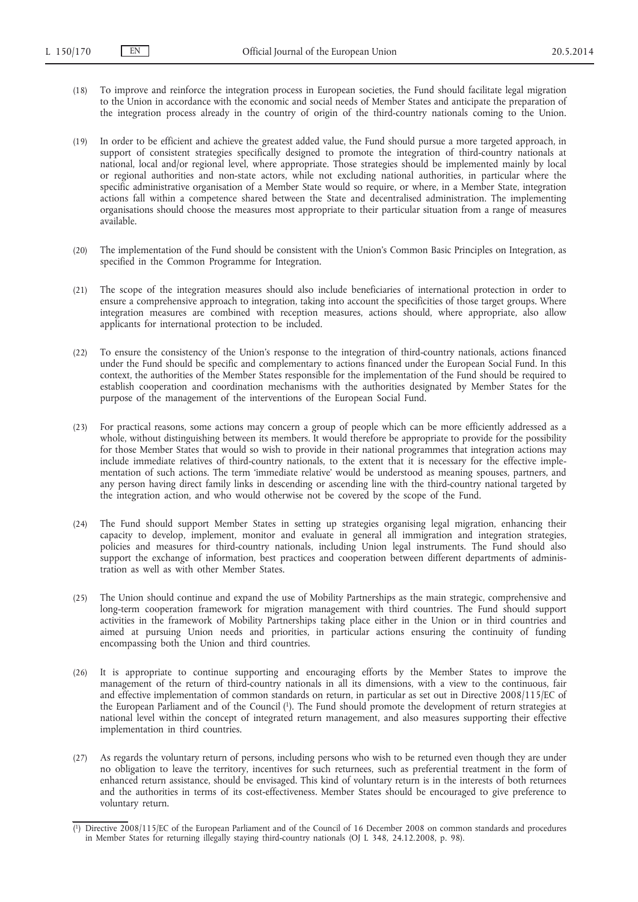- (18) To improve and reinforce the integration process in European societies, the Fund should facilitate legal migration to the Union in accordance with the economic and social needs of Member States and anticipate the preparation of the integration process already in the country of origin of the third-country nationals coming to the Union.
- (19) In order to be efficient and achieve the greatest added value, the Fund should pursue a more targeted approach, in support of consistent strategies specifically designed to promote the integration of third-country nationals at national, local and/or regional level, where appropriate. Those strategies should be implemented mainly by local or regional authorities and non-state actors, while not excluding national authorities, in particular where the specific administrative organisation of a Member State would so require, or where, in a Member State, integration actions fall within a competence shared between the State and decentralised administration. The implementing organisations should choose the measures most appropriate to their particular situation from a range of measures available.
- (20) The implementation of the Fund should be consistent with the Union's Common Basic Principles on Integration, as specified in the Common Programme for Integration.
- (21) The scope of the integration measures should also include beneficiaries of international protection in order to ensure a comprehensive approach to integration, taking into account the specificities of those target groups. Where integration measures are combined with reception measures, actions should, where appropriate, also allow applicants for international protection to be included.
- (22) To ensure the consistency of the Union's response to the integration of third-country nationals, actions financed under the Fund should be specific and complementary to actions financed under the European Social Fund. In this context, the authorities of the Member States responsible for the implementation of the Fund should be required to establish cooperation and coordination mechanisms with the authorities designated by Member States for the purpose of the management of the interventions of the European Social Fund.
- (23) For practical reasons, some actions may concern a group of people which can be more efficiently addressed as a whole, without distinguishing between its members. It would therefore be appropriate to provide for the possibility for those Member States that would so wish to provide in their national programmes that integration actions may include immediate relatives of third-country nationals, to the extent that it is necessary for the effective implementation of such actions. The term 'immediate relative' would be understood as meaning spouses, partners, and any person having direct family links in descending or ascending line with the third-country national targeted by the integration action, and who would otherwise not be covered by the scope of the Fund.
- (24) The Fund should support Member States in setting up strategies organising legal migration, enhancing their capacity to develop, implement, monitor and evaluate in general all immigration and integration strategies, policies and measures for third-country nationals, including Union legal instruments. The Fund should also support the exchange of information, best practices and cooperation between different departments of administration as well as with other Member States.
- (25) The Union should continue and expand the use of Mobility Partnerships as the main strategic, comprehensive and long-term cooperation framework for migration management with third countries. The Fund should support activities in the framework of Mobility Partnerships taking place either in the Union or in third countries and aimed at pursuing Union needs and priorities, in particular actions ensuring the continuity of funding encompassing both the Union and third countries.
- (26) It is appropriate to continue supporting and encouraging efforts by the Member States to improve the management of the return of third-country nationals in all its dimensions, with a view to the continuous, fair and effective implementation of common standards on return, in particular as set out in Directive 2008/115/EC of the European Parliament and of the Council (1). The Fund should promote the development of return strategies at national level within the concept of integrated return management, and also measures supporting their effective implementation in third countries.
- (27) As regards the voluntary return of persons, including persons who wish to be returned even though they are under no obligation to leave the territory, incentives for such returnees, such as preferential treatment in the form of enhanced return assistance, should be envisaged. This kind of voluntary return is in the interests of both returnees and the authorities in terms of its cost-effectiveness. Member States should be encouraged to give preference to voluntary return.

<sup>(</sup> 1) Directive 2008/115/EC of the European Parliament and of the Council of 16 December 2008 on common standards and procedures in Member States for returning illegally staying third-country nationals (OJ L 348, 24.12.2008, p. 98).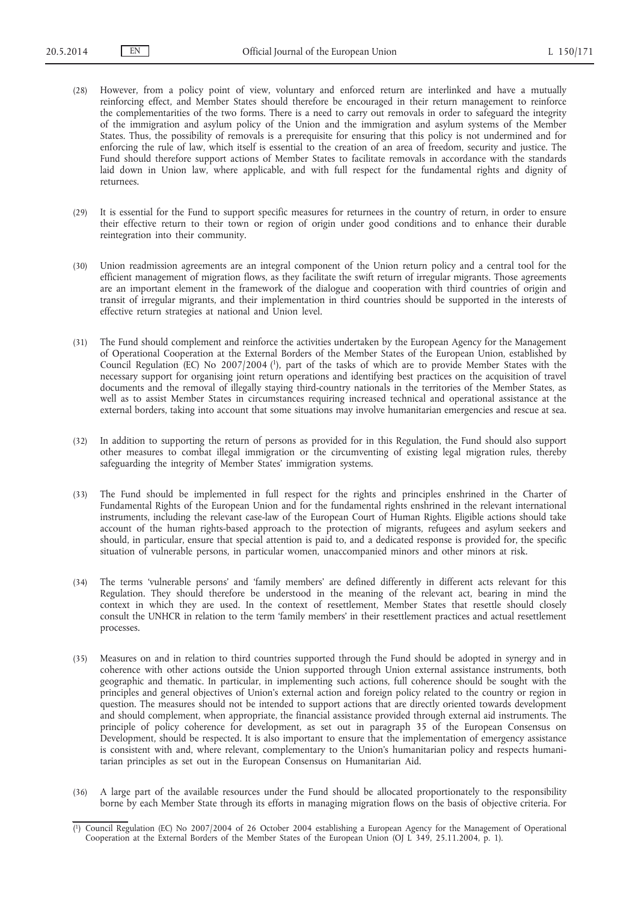- (28) However, from a policy point of view, voluntary and enforced return are interlinked and have a mutually reinforcing effect, and Member States should therefore be encouraged in their return management to reinforce the complementarities of the two forms. There is a need to carry out removals in order to safeguard the integrity of the immigration and asylum policy of the Union and the immigration and asylum systems of the Member States. Thus, the possibility of removals is a prerequisite for ensuring that this policy is not undermined and for enforcing the rule of law, which itself is essential to the creation of an area of freedom, security and justice. The Fund should therefore support actions of Member States to facilitate removals in accordance with the standards laid down in Union law, where applicable, and with full respect for the fundamental rights and dignity of returnees.
- (29) It is essential for the Fund to support specific measures for returnees in the country of return, in order to ensure their effective return to their town or region of origin under good conditions and to enhance their durable reintegration into their community.
- (30) Union readmission agreements are an integral component of the Union return policy and a central tool for the efficient management of migration flows, as they facilitate the swift return of irregular migrants. Those agreements are an important element in the framework of the dialogue and cooperation with third countries of origin and transit of irregular migrants, and their implementation in third countries should be supported in the interests of effective return strategies at national and Union level.
- (31) The Fund should complement and reinforce the activities undertaken by the European Agency for the Management of Operational Cooperation at the External Borders of the Member States of the European Union, established by Council Regulation (EC) No 2007/2004 (1), part of the tasks of which are to provide Member States with the necessary support for organising joint return operations and identifying best practices on the acquisition of travel documents and the removal of illegally staying third-country nationals in the territories of the Member States, as well as to assist Member States in circumstances requiring increased technical and operational assistance at the external borders, taking into account that some situations may involve humanitarian emergencies and rescue at sea.
- (32) In addition to supporting the return of persons as provided for in this Regulation, the Fund should also support other measures to combat illegal immigration or the circumventing of existing legal migration rules, thereby safeguarding the integrity of Member States' immigration systems.
- (33) The Fund should be implemented in full respect for the rights and principles enshrined in the Charter of Fundamental Rights of the European Union and for the fundamental rights enshrined in the relevant international instruments, including the relevant case-law of the European Court of Human Rights. Eligible actions should take account of the human rights-based approach to the protection of migrants, refugees and asylum seekers and should, in particular, ensure that special attention is paid to, and a dedicated response is provided for, the specific situation of vulnerable persons, in particular women, unaccompanied minors and other minors at risk.
- (34) The terms 'vulnerable persons' and 'family members' are defined differently in different acts relevant for this Regulation. They should therefore be understood in the meaning of the relevant act, bearing in mind the context in which they are used. In the context of resettlement, Member States that resettle should closely consult the UNHCR in relation to the term 'family members' in their resettlement practices and actual resettlement processes.
- (35) Measures on and in relation to third countries supported through the Fund should be adopted in synergy and in coherence with other actions outside the Union supported through Union external assistance instruments, both geographic and thematic. In particular, in implementing such actions, full coherence should be sought with the principles and general objectives of Union's external action and foreign policy related to the country or region in question. The measures should not be intended to support actions that are directly oriented towards development and should complement, when appropriate, the financial assistance provided through external aid instruments. The principle of policy coherence for development, as set out in paragraph 35 of the European Consensus on Development, should be respected. It is also important to ensure that the implementation of emergency assistance is consistent with and, where relevant, complementary to the Union's humanitarian policy and respects humanitarian principles as set out in the European Consensus on Humanitarian Aid.
- (36) A large part of the available resources under the Fund should be allocated proportionately to the responsibility borne by each Member State through its efforts in managing migration flows on the basis of objective criteria. For

<sup>(</sup> 1) Council Regulation (EC) No 2007/2004 of 26 October 2004 establishing a European Agency for the Management of Operational Cooperation at the External Borders of the Member States of the European Union (OJ L 349, 25.11.2004, p. 1).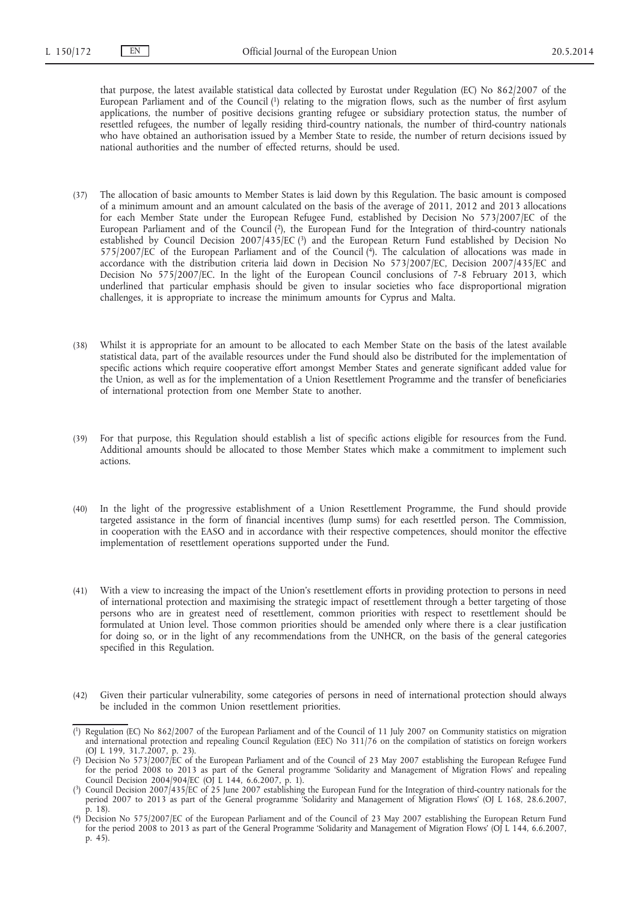that purpose, the latest available statistical data collected by Eurostat under Regulation (EC) No 862/2007 of the European Parliament and of the Council (1) relating to the migration flows, such as the number of first asylum applications, the number of positive decisions granting refugee or subsidiary protection status, the number of resettled refugees, the number of legally residing third-country nationals, the number of third-country nationals who have obtained an authorisation issued by a Member State to reside, the number of return decisions issued by national authorities and the number of effected returns, should be used.

- (37) The allocation of basic amounts to Member States is laid down by this Regulation. The basic amount is composed of a minimum amount and an amount calculated on the basis of the average of 2011, 2012 and 2013 allocations for each Member State under the European Refugee Fund, established by Decision No 573/2007/EC of the European Parliament and of the Council (2), the European Fund for the Integration of third-country nationals established by Council Decision 2007/435/EC (3) and the European Return Fund established by Decision No 575/2007/EC of the European Parliament and of the Council  $(4)$ . The calculation of allocations was made in accordance with the distribution criteria laid down in Decision No 573/2007/EC, Decision 2007/435/EC and Decision No 575/2007/EC. In the light of the European Council conclusions of 7-8 February 2013, which underlined that particular emphasis should be given to insular societies who face disproportional migration challenges, it is appropriate to increase the minimum amounts for Cyprus and Malta.
- (38) Whilst it is appropriate for an amount to be allocated to each Member State on the basis of the latest available statistical data, part of the available resources under the Fund should also be distributed for the implementation of specific actions which require cooperative effort amongst Member States and generate significant added value for the Union, as well as for the implementation of a Union Resettlement Programme and the transfer of beneficiaries of international protection from one Member State to another.
- (39) For that purpose, this Regulation should establish a list of specific actions eligible for resources from the Fund. Additional amounts should be allocated to those Member States which make a commitment to implement such actions.
- (40) In the light of the progressive establishment of a Union Resettlement Programme, the Fund should provide targeted assistance in the form of financial incentives (lump sums) for each resettled person. The Commission, in cooperation with the EASO and in accordance with their respective competences, should monitor the effective implementation of resettlement operations supported under the Fund.
- (41) With a view to increasing the impact of the Union's resettlement efforts in providing protection to persons in need of international protection and maximising the strategic impact of resettlement through a better targeting of those persons who are in greatest need of resettlement, common priorities with respect to resettlement should be formulated at Union level. Those common priorities should be amended only where there is a clear justification for doing so, or in the light of any recommendations from the UNHCR, on the basis of the general categories specified in this Regulation.
- (42) Given their particular vulnerability, some categories of persons in need of international protection should always be included in the common Union resettlement priorities.

<sup>(</sup> 1) Regulation (EC) No 862/2007 of the European Parliament and of the Council of 11 July 2007 on Community statistics on migration and international protection and repealing Council Regulation (EEC) No 311/76 on the compilation of statistics on foreign workers (OJ L 199, 31.7.2007, p. 23).

<sup>(</sup> 2) Decision No 573/2007/EC of the European Parliament and of the Council of 23 May 2007 establishing the European Refugee Fund for the period 2008 to 2013 as part of the General programme 'Solidarity and Management of Migration Flows' and repealing Council Decision 2004/904/EC (OJ L 144, 6.6.2007, p. 1).

<sup>(</sup> 3) Council Decision 2007/435/EC of 25 June 2007 establishing the European Fund for the Integration of third-country nationals for the period 2007 to 2013 as part of the General programme 'Solidarity and Management of Migration Flows' (OJ L 168, 28.6.2007, p. 18).

<sup>(</sup> 4) Decision No 575/2007/EC of the European Parliament and of the Council of 23 May 2007 establishing the European Return Fund for the period 2008 to 2013 as part of the General Programme 'Solidarity and Management of Migration Flows' (OJ L 144, 6.6.2007, p. 45).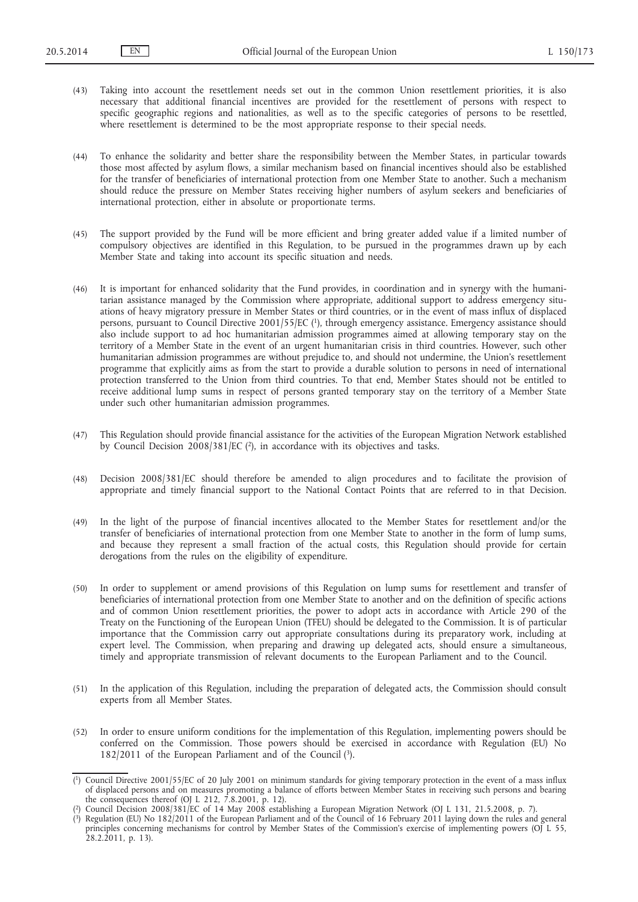(43) Taking into account the resettlement needs set out in the common Union resettlement priorities, it is also necessary that additional financial incentives are provided for the resettlement of persons with respect to specific geographic regions and nationalities, as well as to the specific categories of persons to be resettled, where resettlement is determined to be the most appropriate response to their special needs.

(44) To enhance the solidarity and better share the responsibility between the Member States, in particular towards those most affected by asylum flows, a similar mechanism based on financial incentives should also be established for the transfer of beneficiaries of international protection from one Member State to another. Such a mechanism should reduce the pressure on Member States receiving higher numbers of asylum seekers and beneficiaries of international protection, either in absolute or proportionate terms.

- (45) The support provided by the Fund will be more efficient and bring greater added value if a limited number of compulsory objectives are identified in this Regulation, to be pursued in the programmes drawn up by each Member State and taking into account its specific situation and needs.
- (46) It is important for enhanced solidarity that the Fund provides, in coordination and in synergy with the humanitarian assistance managed by the Commission where appropriate, additional support to address emergency situations of heavy migratory pressure in Member States or third countries, or in the event of mass influx of displaced persons, pursuant to Council Directive 2001/55/EC (1), through emergency assistance. Emergency assistance should also include support to ad hoc humanitarian admission programmes aimed at allowing temporary stay on the territory of a Member State in the event of an urgent humanitarian crisis in third countries. However, such other humanitarian admission programmes are without prejudice to, and should not undermine, the Union's resettlement programme that explicitly aims as from the start to provide a durable solution to persons in need of international protection transferred to the Union from third countries. To that end, Member States should not be entitled to receive additional lump sums in respect of persons granted temporary stay on the territory of a Member State under such other humanitarian admission programmes.
- (47) This Regulation should provide financial assistance for the activities of the European Migration Network established by Council Decision 2008/381/EC ( $2$ ), in accordance with its objectives and tasks.
- (48) Decision 2008/381/EC should therefore be amended to align procedures and to facilitate the provision of appropriate and timely financial support to the National Contact Points that are referred to in that Decision.
- (49) In the light of the purpose of financial incentives allocated to the Member States for resettlement and/or the transfer of beneficiaries of international protection from one Member State to another in the form of lump sums, and because they represent a small fraction of the actual costs, this Regulation should provide for certain derogations from the rules on the eligibility of expenditure.
- (50) In order to supplement or amend provisions of this Regulation on lump sums for resettlement and transfer of beneficiaries of international protection from one Member State to another and on the definition of specific actions and of common Union resettlement priorities, the power to adopt acts in accordance with Article 290 of the Treaty on the Functioning of the European Union (TFEU) should be delegated to the Commission. It is of particular importance that the Commission carry out appropriate consultations during its preparatory work, including at expert level. The Commission, when preparing and drawing up delegated acts, should ensure a simultaneous, timely and appropriate transmission of relevant documents to the European Parliament and to the Council.
- (51) In the application of this Regulation, including the preparation of delegated acts, the Commission should consult experts from all Member States.
- (52) In order to ensure uniform conditions for the implementation of this Regulation, implementing powers should be conferred on the Commission. Those powers should be exercised in accordance with Regulation (EU) No 182/2011 of the European Parliament and of the Council  $(3)$ .

<sup>(</sup> 1) Council Directive 2001/55/EC of 20 July 2001 on minimum standards for giving temporary protection in the event of a mass influx of displaced persons and on measures promoting a balance of efforts between Member States in receiving such persons and bearing the consequences thereof (OJ L 212, 7.8.2001, p. 12).

<sup>(</sup> 2) Council Decision 2008/381/EC of 14 May 2008 establishing a European Migration Network (OJ L 131, 21.5.2008, p. 7).

<sup>(</sup> 3) Regulation (EU) No 182/2011 of the European Parliament and of the Council of 16 February 2011 laying down the rules and general principles concerning mechanisms for control by Member States of the Commission's exercise of implementing powers (OJ L 55, 28.2.2011, p. 13).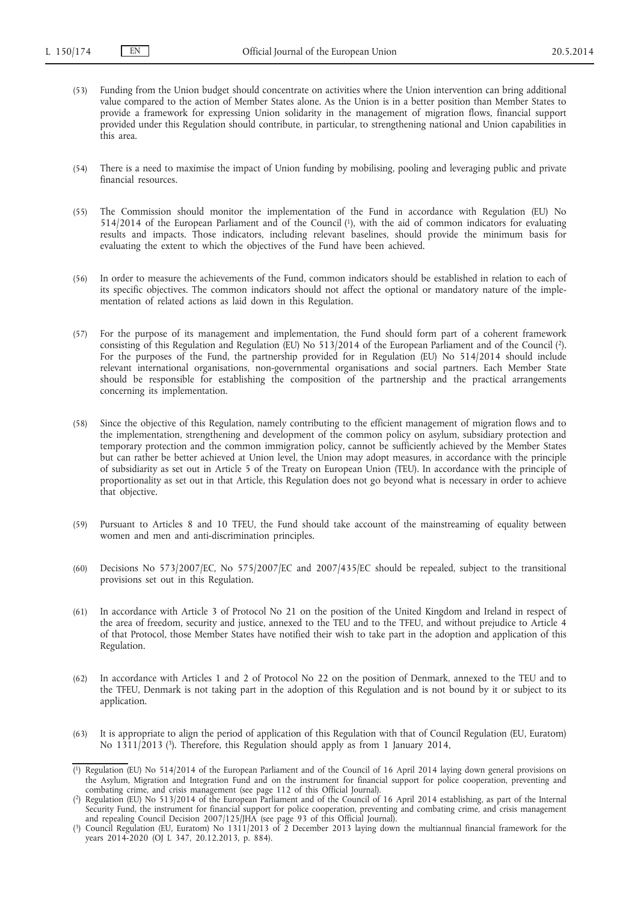- (53) Funding from the Union budget should concentrate on activities where the Union intervention can bring additional value compared to the action of Member States alone. As the Union is in a better position than Member States to provide a framework for expressing Union solidarity in the management of migration flows, financial support provided under this Regulation should contribute, in particular, to strengthening national and Union capabilities in this area.
- (54) There is a need to maximise the impact of Union funding by mobilising, pooling and leveraging public and private financial resources.
- (55) The Commission should monitor the implementation of the Fund in accordance with Regulation (EU) No 514/2014 of the European Parliament and of the Council (1), with the aid of common indicators for evaluating results and impacts. Those indicators, including relevant baselines, should provide the minimum basis for evaluating the extent to which the objectives of the Fund have been achieved.
- (56) In order to measure the achievements of the Fund, common indicators should be established in relation to each of its specific objectives. The common indicators should not affect the optional or mandatory nature of the implementation of related actions as laid down in this Regulation.
- (57) For the purpose of its management and implementation, the Fund should form part of a coherent framework consisting of this Regulation and Regulation (EU) No 513/2014 of the European Parliament and of the Council (2). For the purposes of the Fund, the partnership provided for in Regulation (EU) No 514/2014 should include relevant international organisations, non-governmental organisations and social partners. Each Member State should be responsible for establishing the composition of the partnership and the practical arrangements concerning its implementation.
- (58) Since the objective of this Regulation, namely contributing to the efficient management of migration flows and to the implementation, strengthening and development of the common policy on asylum, subsidiary protection and temporary protection and the common immigration policy, cannot be sufficiently achieved by the Member States but can rather be better achieved at Union level, the Union may adopt measures, in accordance with the principle of subsidiarity as set out in Article 5 of the Treaty on European Union (TEU). In accordance with the principle of proportionality as set out in that Article, this Regulation does not go beyond what is necessary in order to achieve that objective.
- (59) Pursuant to Articles 8 and 10 TFEU, the Fund should take account of the mainstreaming of equality between women and men and anti-discrimination principles.
- (60) Decisions No 573/2007/EC, No 575/2007/EC and 2007/435/EC should be repealed, subject to the transitional provisions set out in this Regulation.
- (61) In accordance with Article 3 of Protocol No 21 on the position of the United Kingdom and Ireland in respect of the area of freedom, security and justice, annexed to the TEU and to the TFEU, and without prejudice to Article 4 of that Protocol, those Member States have notified their wish to take part in the adoption and application of this Regulation.
- (62) In accordance with Articles 1 and 2 of Protocol No 22 on the position of Denmark, annexed to the TEU and to the TFEU, Denmark is not taking part in the adoption of this Regulation and is not bound by it or subject to its application.
- (63) It is appropriate to align the period of application of this Regulation with that of Council Regulation (EU, Euratom) No 1311/2013 (3). Therefore, this Regulation should apply as from 1 January 2014,

<sup>(</sup> 1) Regulation (EU) No 514/2014 of the European Parliament and of the Council of 16 April 2014 laying down general provisions on the Asylum, Migration and Integration Fund and on the instrument for financial support for police cooperation, preventing and combating crime, and crisis management (see page 112 of this Official Journal).

<sup>(</sup> 2) Regulation (EU) No 513/2014 of the European Parliament and of the Council of 16 April 2014 establishing, as part of the Internal Security Fund, the instrument for financial support for police cooperation, preventing and combating crime, and crisis management and repealing Council Decision 2007/125/JHA (see page 93 of this Official Journal).

<sup>(</sup> 3) Council Regulation (EU, Euratom) No 1311/2013 of 2 December 2013 laying down the multiannual financial framework for the years 2014-2020 (OJ L 347, 20.12.2013, p. 884).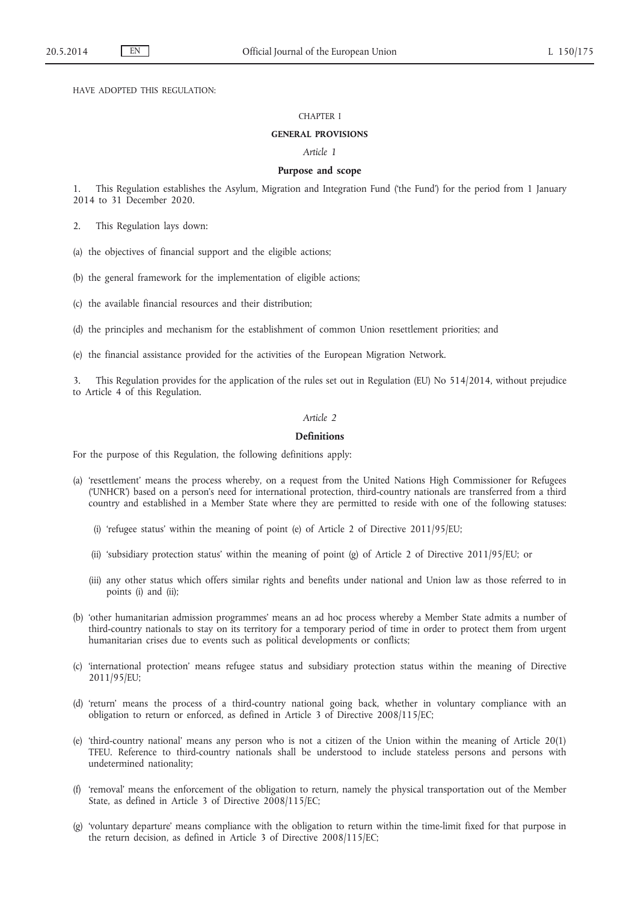HAVE ADOPTED THIS REGULATION:

#### CHAPTER I

### **GENERAL PROVISIONS**

*Article 1*

### **Purpose and scope**

1. This Regulation establishes the Asylum, Migration and Integration Fund ('the Fund') for the period from 1 January 2014 to 31 December 2020.

2. This Regulation lays down:

(a) the objectives of financial support and the eligible actions;

(b) the general framework for the implementation of eligible actions;

(c) the available financial resources and their distribution;

(d) the principles and mechanism for the establishment of common Union resettlement priorities; and

(e) the financial assistance provided for the activities of the European Migration Network.

3. This Regulation provides for the application of the rules set out in Regulation (EU) No 514/2014, without prejudice to Article 4 of this Regulation.

## *Article 2*

#### **Definitions**

For the purpose of this Regulation, the following definitions apply:

- (a) 'resettlement' means the process whereby, on a request from the United Nations High Commissioner for Refugees ('UNHCR') based on a person's need for international protection, third-country nationals are transferred from a third country and established in a Member State where they are permitted to reside with one of the following statuses:
	- (i) 'refugee status' within the meaning of point (e) of Article 2 of Directive 2011/95/EU;
	- (ii) 'subsidiary protection status' within the meaning of point (g) of Article 2 of Directive 2011/95/EU; or
	- (iii) any other status which offers similar rights and benefits under national and Union law as those referred to in points (i) and (ii);
- (b) 'other humanitarian admission programmes' means an ad hoc process whereby a Member State admits a number of third-country nationals to stay on its territory for a temporary period of time in order to protect them from urgent humanitarian crises due to events such as political developments or conflicts;
- (c) 'international protection' means refugee status and subsidiary protection status within the meaning of Directive 2011/95/EU;
- (d) 'return' means the process of a third-country national going back, whether in voluntary compliance with an obligation to return or enforced, as defined in Article 3 of Directive 2008/115/EC;
- (e) 'third-country national' means any person who is not a citizen of the Union within the meaning of Article 20(1) TFEU. Reference to third-country nationals shall be understood to include stateless persons and persons with undetermined nationality;
- (f) 'removal' means the enforcement of the obligation to return, namely the physical transportation out of the Member State, as defined in Article 3 of Directive 2008/115/EC;
- (g) 'voluntary departure' means compliance with the obligation to return within the time-limit fixed for that purpose in the return decision, as defined in Article 3 of Directive 2008/115/EC;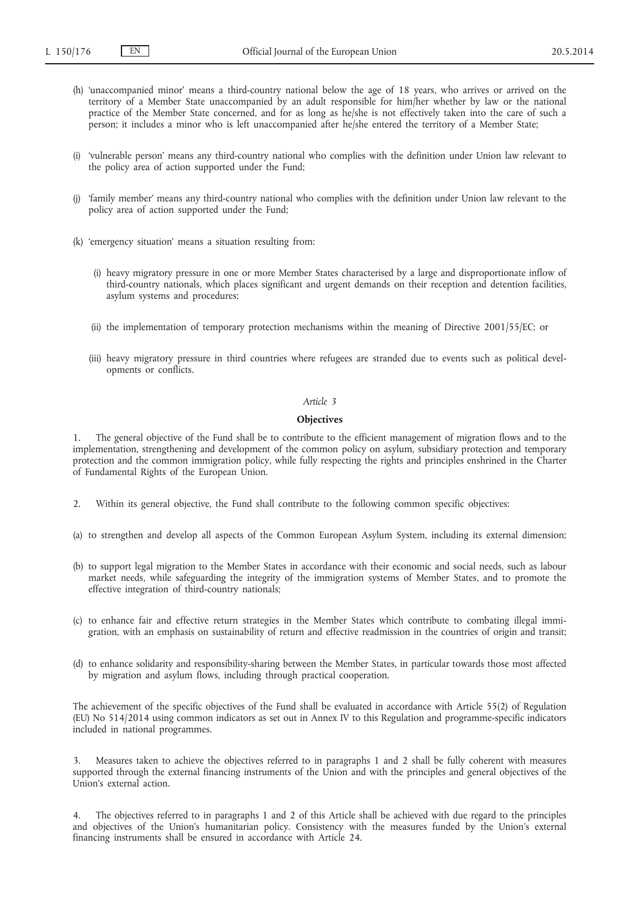- (h) 'unaccompanied minor' means a third-country national below the age of 18 years, who arrives or arrived on the territory of a Member State unaccompanied by an adult responsible for him/her whether by law or the national practice of the Member State concerned, and for as long as he/she is not effectively taken into the care of such a person; it includes a minor who is left unaccompanied after he/she entered the territory of a Member State;
- (i) 'vulnerable person' means any third-country national who complies with the definition under Union law relevant to the policy area of action supported under the Fund;
- (j) 'family member' means any third-country national who complies with the definition under Union law relevant to the policy area of action supported under the Fund;
- (k) 'emergency situation' means a situation resulting from:
	- (i) heavy migratory pressure in one or more Member States characterised by a large and disproportionate inflow of third-country nationals, which places significant and urgent demands on their reception and detention facilities, asylum systems and procedures;
	- (ii) the implementation of temporary protection mechanisms within the meaning of Directive 2001/55/EC; or
	- (iii) heavy migratory pressure in third countries where refugees are stranded due to events such as political developments or conflicts.

### *Article 3*

### **Objectives**

1. The general objective of the Fund shall be to contribute to the efficient management of migration flows and to the implementation, strengthening and development of the common policy on asylum, subsidiary protection and temporary protection and the common immigration policy, while fully respecting the rights and principles enshrined in the Charter of Fundamental Rights of the European Union.

- 2. Within its general objective, the Fund shall contribute to the following common specific objectives:
- (a) to strengthen and develop all aspects of the Common European Asylum System, including its external dimension;
- (b) to support legal migration to the Member States in accordance with their economic and social needs, such as labour market needs, while safeguarding the integrity of the immigration systems of Member States, and to promote the effective integration of third-country nationals;
- (c) to enhance fair and effective return strategies in the Member States which contribute to combating illegal immigration, with an emphasis on sustainability of return and effective readmission in the countries of origin and transit;
- (d) to enhance solidarity and responsibility-sharing between the Member States, in particular towards those most affected by migration and asylum flows, including through practical cooperation.

The achievement of the specific objectives of the Fund shall be evaluated in accordance with Article 55(2) of Regulation (EU) No 514/2014 using common indicators as set out in Annex IV to this Regulation and programme-specific indicators included in national programmes.

3. Measures taken to achieve the objectives referred to in paragraphs 1 and 2 shall be fully coherent with measures supported through the external financing instruments of the Union and with the principles and general objectives of the Union's external action.

4. The objectives referred to in paragraphs 1 and 2 of this Article shall be achieved with due regard to the principles and objectives of the Union's humanitarian policy. Consistency with the measures funded by the Union's external financing instruments shall be ensured in accordance with Article 24.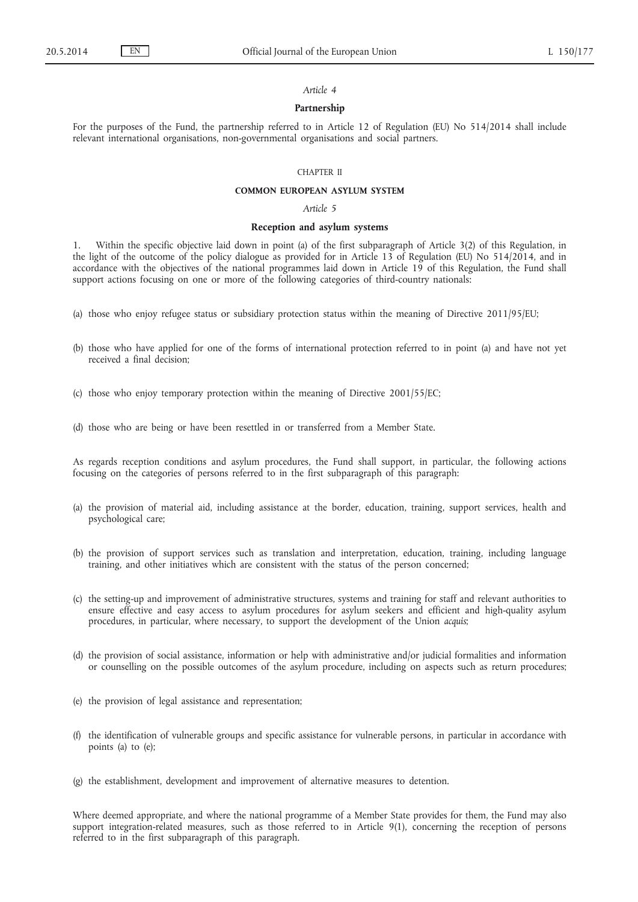### *Article 4*

### **Partnership**

For the purposes of the Fund, the partnership referred to in Article 12 of Regulation (EU) No 514/2014 shall include relevant international organisations, non-governmental organisations and social partners.

## CHAPTER II

### **COMMON EUROPEAN ASYLUM SYSTEM**

*Article 5*

### **Reception and asylum systems**

1. Within the specific objective laid down in point (a) of the first subparagraph of Article 3(2) of this Regulation, in the light of the outcome of the policy dialogue as provided for in Article 13 of Regulation (EU) No 514/2014, and in accordance with the objectives of the national programmes laid down in Article 19 of this Regulation, the Fund shall support actions focusing on one or more of the following categories of third-country nationals:

- (a) those who enjoy refugee status or subsidiary protection status within the meaning of Directive 2011/95/EU;
- (b) those who have applied for one of the forms of international protection referred to in point (a) and have not yet received a final decision;
- (c) those who enjoy temporary protection within the meaning of Directive 2001/55/EC;
- (d) those who are being or have been resettled in or transferred from a Member State.

As regards reception conditions and asylum procedures, the Fund shall support, in particular, the following actions focusing on the categories of persons referred to in the first subparagraph of this paragraph:

- (a) the provision of material aid, including assistance at the border, education, training, support services, health and psychological care;
- (b) the provision of support services such as translation and interpretation, education, training, including language training, and other initiatives which are consistent with the status of the person concerned;
- (c) the setting-up and improvement of administrative structures, systems and training for staff and relevant authorities to ensure effective and easy access to asylum procedures for asylum seekers and efficient and high-quality asylum procedures, in particular, where necessary, to support the development of the Union *acquis*;
- (d) the provision of social assistance, information or help with administrative and/or judicial formalities and information or counselling on the possible outcomes of the asylum procedure, including on aspects such as return procedures;
- (e) the provision of legal assistance and representation;
- (f) the identification of vulnerable groups and specific assistance for vulnerable persons, in particular in accordance with points (a) to (e);
- (g) the establishment, development and improvement of alternative measures to detention.

Where deemed appropriate, and where the national programme of a Member State provides for them, the Fund may also support integration-related measures, such as those referred to in Article 9(1), concerning the reception of persons referred to in the first subparagraph of this paragraph.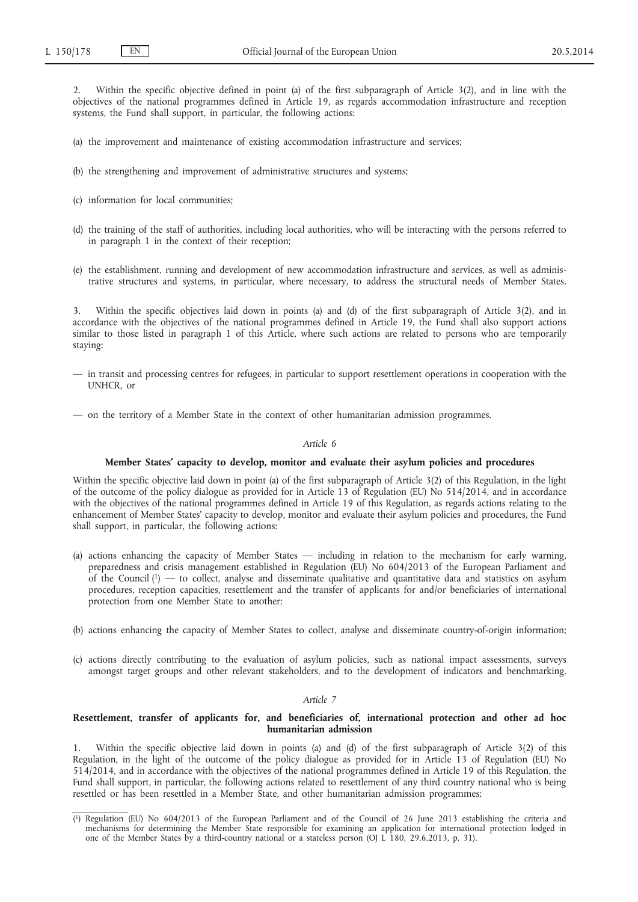2. Within the specific objective defined in point (a) of the first subparagraph of Article 3(2), and in line with the objectives of the national programmes defined in Article 19, as regards accommodation infrastructure and reception systems, the Fund shall support, in particular, the following actions:

- (a) the improvement and maintenance of existing accommodation infrastructure and services;
- (b) the strengthening and improvement of administrative structures and systems;
- (c) information for local communities;
- (d) the training of the staff of authorities, including local authorities, who will be interacting with the persons referred to in paragraph 1 in the context of their reception;
- (e) the establishment, running and development of new accommodation infrastructure and services, as well as administrative structures and systems, in particular, where necessary, to address the structural needs of Member States.

3. Within the specific objectives laid down in points (a) and (d) of the first subparagraph of Article 3(2), and in accordance with the objectives of the national programmes defined in Article 19, the Fund shall also support actions similar to those listed in paragraph 1 of this Article, where such actions are related to persons who are temporarily staying:

- in transit and processing centres for refugees, in particular to support resettlement operations in cooperation with the UNHCR, or
- on the territory of a Member State in the context of other humanitarian admission programmes.

### *Article 6*

### **Member States' capacity to develop, monitor and evaluate their asylum policies and procedures**

Within the specific objective laid down in point (a) of the first subparagraph of Article 3(2) of this Regulation, in the light of the outcome of the policy dialogue as provided for in Article 13 of Regulation (EU) No 514/2014, and in accordance with the objectives of the national programmes defined in Article 19 of this Regulation, as regards actions relating to the enhancement of Member States' capacity to develop, monitor and evaluate their asylum policies and procedures, the Fund shall support, in particular, the following actions:

- (a) actions enhancing the capacity of Member States including in relation to the mechanism for early warning, preparedness and crisis management established in Regulation (EU) No 604/2013 of the European Parliament and of the Council  $(1)$  — to collect, analyse and disseminate qualitative and quantitative data and statistics on asylum procedures, reception capacities, resettlement and the transfer of applicants for and/or beneficiaries of international protection from one Member State to another;
- (b) actions enhancing the capacity of Member States to collect, analyse and disseminate country-of-origin information;
- (c) actions directly contributing to the evaluation of asylum policies, such as national impact assessments, surveys amongst target groups and other relevant stakeholders, and to the development of indicators and benchmarking.

#### *Article 7*

### **Resettlement, transfer of applicants for, and beneficiaries of, international protection and other ad hoc humanitarian admission**

1. Within the specific objective laid down in points (a) and (d) of the first subparagraph of Article 3(2) of this Regulation, in the light of the outcome of the policy dialogue as provided for in Article 13 of Regulation (EU) No 514/2014, and in accordance with the objectives of the national programmes defined in Article 19 of this Regulation, the Fund shall support, in particular, the following actions related to resettlement of any third country national who is being resettled or has been resettled in a Member State, and other humanitarian admission programmes:

<sup>(</sup> 1) Regulation (EU) No 604/2013 of the European Parliament and of the Council of 26 June 2013 establishing the criteria and mechanisms for determining the Member State responsible for examining an application for international protection lodged in one of the Member States by a third-country national or a stateless person (OJ L 180, 29.6.2013, p. 31).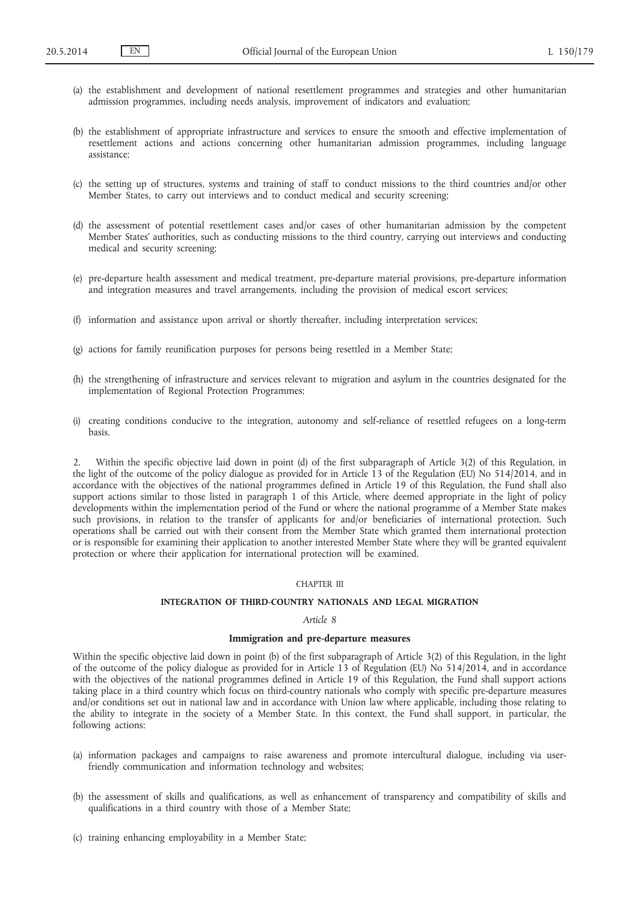- (a) the establishment and development of national resettlement programmes and strategies and other humanitarian admission programmes, including needs analysis, improvement of indicators and evaluation;
- (b) the establishment of appropriate infrastructure and services to ensure the smooth and effective implementation of resettlement actions and actions concerning other humanitarian admission programmes, including language assistance;
- (c) the setting up of structures, systems and training of staff to conduct missions to the third countries and/or other Member States, to carry out interviews and to conduct medical and security screening;
- (d) the assessment of potential resettlement cases and/or cases of other humanitarian admission by the competent Member States' authorities, such as conducting missions to the third country, carrying out interviews and conducting medical and security screening;
- (e) pre-departure health assessment and medical treatment, pre-departure material provisions, pre-departure information and integration measures and travel arrangements, including the provision of medical escort services;
- (f) information and assistance upon arrival or shortly thereafter, including interpretation services;
- (g) actions for family reunification purposes for persons being resettled in a Member State;
- (h) the strengthening of infrastructure and services relevant to migration and asylum in the countries designated for the implementation of Regional Protection Programmes;
- (i) creating conditions conducive to the integration, autonomy and self-reliance of resettled refugees on a long-term basis.

2. Within the specific objective laid down in point (d) of the first subparagraph of Article 3(2) of this Regulation, in the light of the outcome of the policy dialogue as provided for in Article 13 of the Regulation (EU) No 514/2014, and in accordance with the objectives of the national programmes defined in Article 19 of this Regulation, the Fund shall also support actions similar to those listed in paragraph 1 of this Article, where deemed appropriate in the light of policy developments within the implementation period of the Fund or where the national programme of a Member State makes such provisions, in relation to the transfer of applicants for and/or beneficiaries of international protection. Such operations shall be carried out with their consent from the Member State which granted them international protection or is responsible for examining their application to another interested Member State where they will be granted equivalent protection or where their application for international protection will be examined.

### CHAPTER III

## **INTEGRATION OF THIRD-COUNTRY NATIONALS AND LEGAL MIGRATION**

### *Article 8*

## **Immigration and pre-departure measures**

Within the specific objective laid down in point (b) of the first subparagraph of Article 3(2) of this Regulation, in the light of the outcome of the policy dialogue as provided for in Article 13 of Regulation (EU) No 514/2014, and in accordance with the objectives of the national programmes defined in Article 19 of this Regulation, the Fund shall support actions taking place in a third country which focus on third-country nationals who comply with specific pre-departure measures and/or conditions set out in national law and in accordance with Union law where applicable, including those relating to the ability to integrate in the society of a Member State. In this context, the Fund shall support, in particular, the following actions:

- (a) information packages and campaigns to raise awareness and promote intercultural dialogue, including via userfriendly communication and information technology and websites;
- (b) the assessment of skills and qualifications, as well as enhancement of transparency and compatibility of skills and qualifications in a third country with those of a Member State;
- (c) training enhancing employability in a Member State;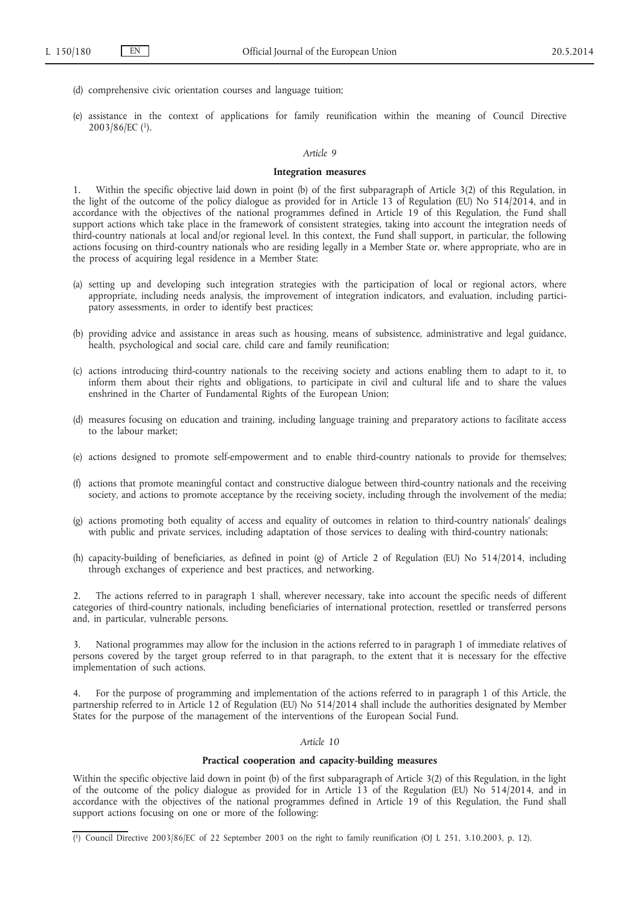- (d) comprehensive civic orientation courses and language tuition;
- (e) assistance in the context of applications for family reunification within the meaning of Council Directive 2003/86/EC (1).

### *Article 9*

### **Integration measures**

1. Within the specific objective laid down in point (b) of the first subparagraph of Article 3(2) of this Regulation, in the light of the outcome of the policy dialogue as provided for in Article 13 of Regulation (EU) No 514/2014, and in accordance with the objectives of the national programmes defined in Article 19 of this Regulation, the Fund shall support actions which take place in the framework of consistent strategies, taking into account the integration needs of third-country nationals at local and/or regional level. In this context, the Fund shall support, in particular, the following actions focusing on third-country nationals who are residing legally in a Member State or, where appropriate, who are in the process of acquiring legal residence in a Member State:

- (a) setting up and developing such integration strategies with the participation of local or regional actors, where appropriate, including needs analysis, the improvement of integration indicators, and evaluation, including participatory assessments, in order to identify best practices;
- (b) providing advice and assistance in areas such as housing, means of subsistence, administrative and legal guidance, health, psychological and social care, child care and family reunification;
- (c) actions introducing third-country nationals to the receiving society and actions enabling them to adapt to it, to inform them about their rights and obligations, to participate in civil and cultural life and to share the values enshrined in the Charter of Fundamental Rights of the European Union;
- (d) measures focusing on education and training, including language training and preparatory actions to facilitate access to the labour market;
- (e) actions designed to promote self-empowerment and to enable third-country nationals to provide for themselves;
- (f) actions that promote meaningful contact and constructive dialogue between third-country nationals and the receiving society, and actions to promote acceptance by the receiving society, including through the involvement of the media;
- (g) actions promoting both equality of access and equality of outcomes in relation to third-country nationals' dealings with public and private services, including adaptation of those services to dealing with third-country nationals;
- (h) capacity-building of beneficiaries, as defined in point (g) of Article 2 of Regulation (EU) No 514/2014, including through exchanges of experience and best practices, and networking.

2. The actions referred to in paragraph 1 shall, wherever necessary, take into account the specific needs of different categories of third-country nationals, including beneficiaries of international protection, resettled or transferred persons and, in particular, vulnerable persons.

3. National programmes may allow for the inclusion in the actions referred to in paragraph 1 of immediate relatives of persons covered by the target group referred to in that paragraph, to the extent that it is necessary for the effective implementation of such actions.

4. For the purpose of programming and implementation of the actions referred to in paragraph 1 of this Article, the partnership referred to in Article 12 of Regulation (EU) No 514/2014 shall include the authorities designated by Member States for the purpose of the management of the interventions of the European Social Fund.

### *Article 10*

### **Practical cooperation and capacity-building measures**

Within the specific objective laid down in point (b) of the first subparagraph of Article 3(2) of this Regulation, in the light of the outcome of the policy dialogue as provided for in Article 13 of the Regulation (EU) No 514/2014, and in accordance with the objectives of the national programmes defined in Article 19 of this Regulation, the Fund shall support actions focusing on one or more of the following:

<sup>(</sup> 1) Council Directive 2003/86/EC of 22 September 2003 on the right to family reunification (OJ L 251, 3.10.2003, p. 12).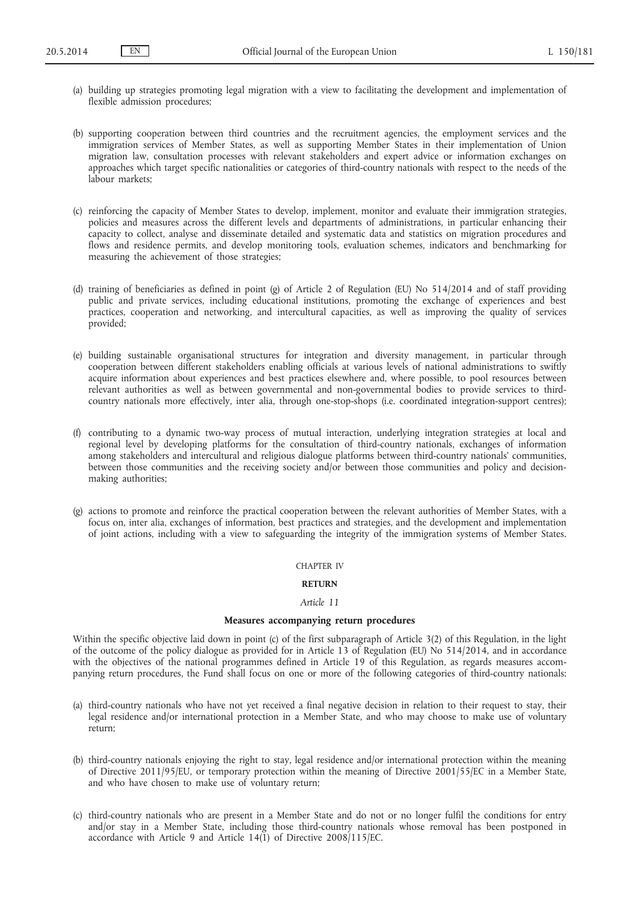- (a) building up strategies promoting legal migration with a view to facilitating the development and implementation of flexible admission procedures;
- (b) supporting cooperation between third countries and the recruitment agencies, the employment services and the immigration services of Member States, as well as supporting Member States in their implementation of Union migration law, consultation processes with relevant stakeholders and expert advice or information exchanges on approaches which target specific nationalities or categories of third-country nationals with respect to the needs of the labour markets;
- (c) reinforcing the capacity of Member States to develop, implement, monitor and evaluate their immigration strategies, policies and measures across the different levels and departments of administrations, in particular enhancing their capacity to collect, analyse and disseminate detailed and systematic data and statistics on migration procedures and flows and residence permits, and develop monitoring tools, evaluation schemes, indicators and benchmarking for measuring the achievement of those strategies;
- (d) training of beneficiaries as defined in point (g) of Article 2 of Regulation (EU) No 514/2014 and of staff providing public and private services, including educational institutions, promoting the exchange of experiences and best practices, cooperation and networking, and intercultural capacities, as well as improving the quality of services provided;
- (e) building sustainable organisational structures for integration and diversity management, in particular through cooperation between different stakeholders enabling officials at various levels of national administrations to swiftly acquire information about experiences and best practices elsewhere and, where possible, to pool resources between relevant authorities as well as between governmental and non-governmental bodies to provide services to thirdcountry nationals more effectively, inter alia, through one-stop-shops (i.e. coordinated integration-support centres);
- (f) contributing to a dynamic two-way process of mutual interaction, underlying integration strategies at local and regional level by developing platforms for the consultation of third-country nationals, exchanges of information among stakeholders and intercultural and religious dialogue platforms between third-country nationals' communities, between those communities and the receiving society and/or between those communities and policy and decisionmaking authorities;
- (g) actions to promote and reinforce the practical cooperation between the relevant authorities of Member States, with a focus on, inter alia, exchanges of information, best practices and strategies, and the development and implementation of joint actions, including with a view to safeguarding the integrity of the immigration systems of Member States.

### CHAPTER IV

## **RETURN**

## *Article 11*

### **Measures accompanying return procedures**

Within the specific objective laid down in point (c) of the first subparagraph of Article 3(2) of this Regulation, in the light of the outcome of the policy dialogue as provided for in Article 13 of Regulation (EU) No 514/2014, and in accordance with the objectives of the national programmes defined in Article 19 of this Regulation, as regards measures accompanying return procedures, the Fund shall focus on one or more of the following categories of third-country nationals:

- (a) third-country nationals who have not yet received a final negative decision in relation to their request to stay, their legal residence and/or international protection in a Member State, and who may choose to make use of voluntary return;
- (b) third-country nationals enjoying the right to stay, legal residence and/or international protection within the meaning of Directive 2011/95/EU, or temporary protection within the meaning of Directive 2001/55/EC in a Member State, and who have chosen to make use of voluntary return;
- (c) third-country nationals who are present in a Member State and do not or no longer fulfil the conditions for entry and/or stay in a Member State, including those third-country nationals whose removal has been postponed in accordance with Article 9 and Article 14(1) of Directive 2008/115/EC.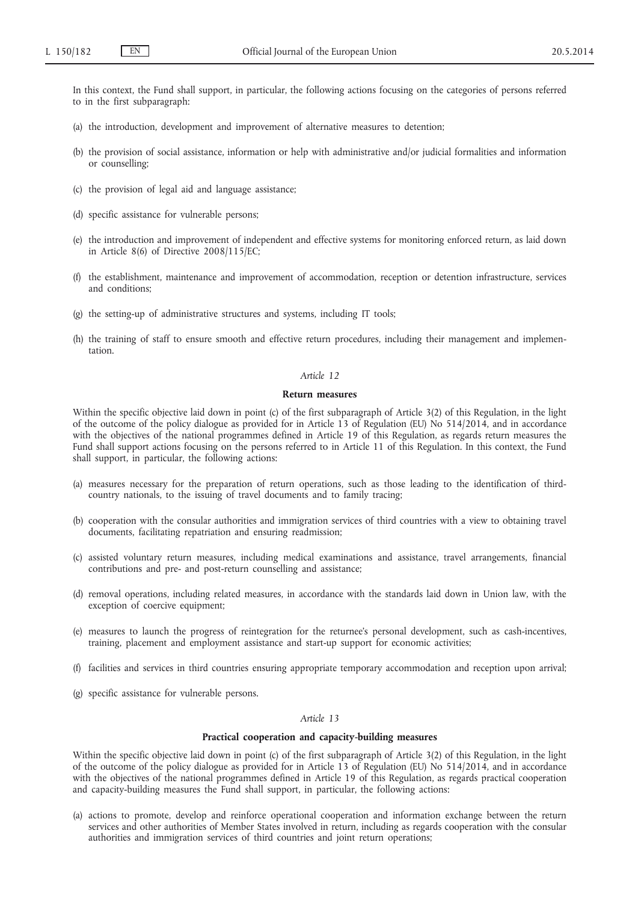In this context, the Fund shall support, in particular, the following actions focusing on the categories of persons referred to in the first subparagraph:

- (a) the introduction, development and improvement of alternative measures to detention;
- (b) the provision of social assistance, information or help with administrative and/or judicial formalities and information or counselling;
- (c) the provision of legal aid and language assistance;
- (d) specific assistance for vulnerable persons;
- (e) the introduction and improvement of independent and effective systems for monitoring enforced return, as laid down in Article 8(6) of Directive 2008/115/EC;
- (f) the establishment, maintenance and improvement of accommodation, reception or detention infrastructure, services and conditions;
- (g) the setting-up of administrative structures and systems, including IT tools;
- (h) the training of staff to ensure smooth and effective return procedures, including their management and implementation.

### *Article 12*

### **Return measures**

Within the specific objective laid down in point (c) of the first subparagraph of Article 3(2) of this Regulation, in the light of the outcome of the policy dialogue as provided for in Article 13 of Regulation (EU) No 514/2014, and in accordance with the objectives of the national programmes defined in Article 19 of this Regulation, as regards return measures the Fund shall support actions focusing on the persons referred to in Article 11 of this Regulation. In this context, the Fund shall support, in particular, the following actions:

- (a) measures necessary for the preparation of return operations, such as those leading to the identification of thirdcountry nationals, to the issuing of travel documents and to family tracing;
- (b) cooperation with the consular authorities and immigration services of third countries with a view to obtaining travel documents, facilitating repatriation and ensuring readmission;
- (c) assisted voluntary return measures, including medical examinations and assistance, travel arrangements, financial contributions and pre- and post-return counselling and assistance;
- (d) removal operations, including related measures, in accordance with the standards laid down in Union law, with the exception of coercive equipment;
- (e) measures to launch the progress of reintegration for the returnee's personal development, such as cash-incentives, training, placement and employment assistance and start-up support for economic activities;
- (f) facilities and services in third countries ensuring appropriate temporary accommodation and reception upon arrival;
- (g) specific assistance for vulnerable persons.

### *Article 13*

### **Practical cooperation and capacity-building measures**

Within the specific objective laid down in point (c) of the first subparagraph of Article 3(2) of this Regulation, in the light of the outcome of the policy dialogue as provided for in Article 13 of Regulation (EU) No 514/2014, and in accordance with the objectives of the national programmes defined in Article 19 of this Regulation, as regards practical cooperation and capacity-building measures the Fund shall support, in particular, the following actions:

(a) actions to promote, develop and reinforce operational cooperation and information exchange between the return services and other authorities of Member States involved in return, including as regards cooperation with the consular authorities and immigration services of third countries and joint return operations;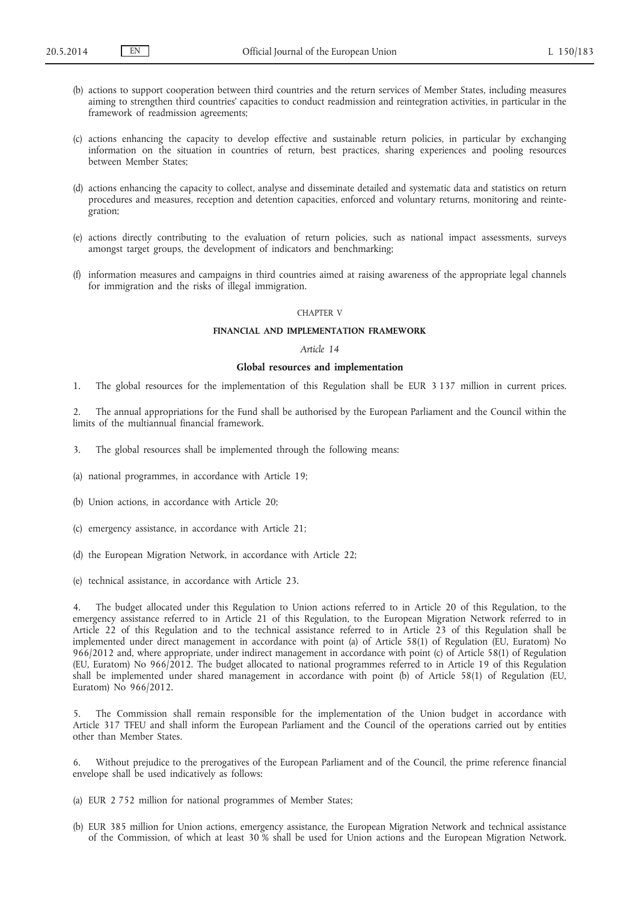- (b) actions to support cooperation between third countries and the return services of Member States, including measures aiming to strengthen third countries' capacities to conduct readmission and reintegration activities, in particular in the framework of readmission agreements;
- (c) actions enhancing the capacity to develop effective and sustainable return policies, in particular by exchanging information on the situation in countries of return, best practices, sharing experiences and pooling resources between Member States;
- (d) actions enhancing the capacity to collect, analyse and disseminate detailed and systematic data and statistics on return procedures and measures, reception and detention capacities, enforced and voluntary returns, monitoring and reintegration;
- (e) actions directly contributing to the evaluation of return policies, such as national impact assessments, surveys amongst target groups, the development of indicators and benchmarking;
- (f) information measures and campaigns in third countries aimed at raising awareness of the appropriate legal channels for immigration and the risks of illegal immigration.

### CHAPTER V

### **FINANCIAL AND IMPLEMENTATION FRAMEWORK**

### *Article 14*

#### **Global resources and implementation**

1. The global resources for the implementation of this Regulation shall be EUR 3 137 million in current prices.

2. The annual appropriations for the Fund shall be authorised by the European Parliament and the Council within the limits of the multiannual financial framework.

- 3. The global resources shall be implemented through the following means:
- (a) national programmes, in accordance with Article 19;
- (b) Union actions, in accordance with Article 20;
- (c) emergency assistance, in accordance with Article 21;
- (d) the European Migration Network, in accordance with Article 22;
- (e) technical assistance, in accordance with Article 23.

4. The budget allocated under this Regulation to Union actions referred to in Article 20 of this Regulation, to the emergency assistance referred to in Article 21 of this Regulation, to the European Migration Network referred to in Article 22 of this Regulation and to the technical assistance referred to in Article 23 of this Regulation shall be implemented under direct management in accordance with point (a) of Article 58(1) of Regulation (EU, Euratom) No 966/2012 and, where appropriate, under indirect management in accordance with point (c) of Article 58(1) of Regulation (EU, Euratom) No 966/2012. The budget allocated to national programmes referred to in Article 19 of this Regulation shall be implemented under shared management in accordance with point (b) of Article 58(1) of Regulation (EU, Euratom) No 966/2012.

5. The Commission shall remain responsible for the implementation of the Union budget in accordance with Article 317 TFEU and shall inform the European Parliament and the Council of the operations carried out by entities other than Member States.

Without prejudice to the prerogatives of the European Parliament and of the Council, the prime reference financial envelope shall be used indicatively as follows:

- (a) EUR 2 752 million for national programmes of Member States;
- (b) EUR 385 million for Union actions, emergency assistance, the European Migration Network and technical assistance of the Commission, of which at least 30 % shall be used for Union actions and the European Migration Network.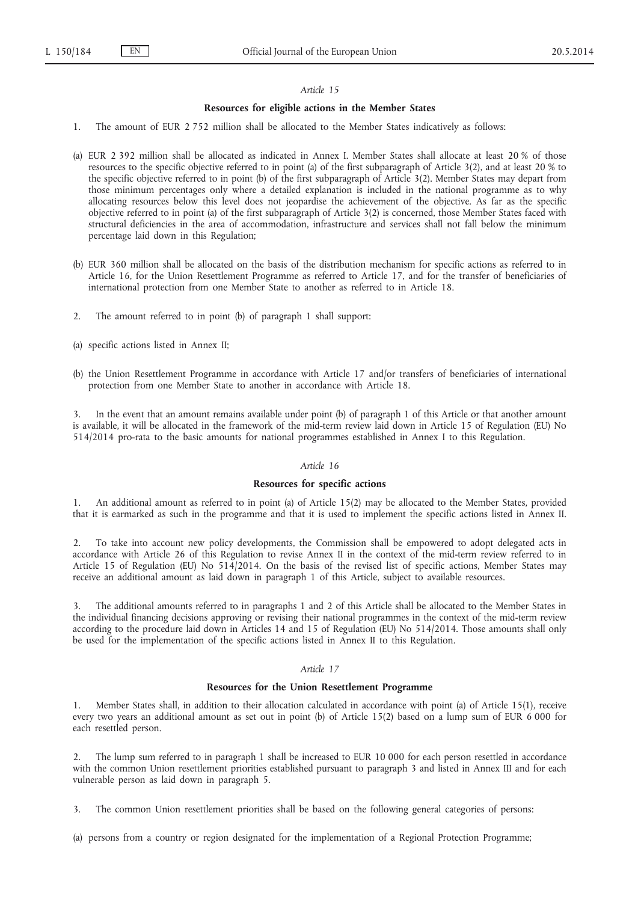#### *Article 15*

### **Resources for eligible actions in the Member States**

- 1. The amount of EUR 2 752 million shall be allocated to the Member States indicatively as follows:
- (a) EUR 2 392 million shall be allocated as indicated in Annex I. Member States shall allocate at least 20 % of those resources to the specific objective referred to in point (a) of the first subparagraph of Article 3(2), and at least 20 % to the specific objective referred to in point (b) of the first subparagraph of Article 3(2). Member States may depart from those minimum percentages only where a detailed explanation is included in the national programme as to why allocating resources below this level does not jeopardise the achievement of the objective. As far as the specific objective referred to in point (a) of the first subparagraph of Article 3(2) is concerned, those Member States faced with structural deficiencies in the area of accommodation, infrastructure and services shall not fall below the minimum percentage laid down in this Regulation;
- (b) EUR 360 million shall be allocated on the basis of the distribution mechanism for specific actions as referred to in Article 16, for the Union Resettlement Programme as referred to Article 17, and for the transfer of beneficiaries of international protection from one Member State to another as referred to in Article 18.
- 2. The amount referred to in point (b) of paragraph 1 shall support:
- (a) specific actions listed in Annex II;
- (b) the Union Resettlement Programme in accordance with Article 17 and/or transfers of beneficiaries of international protection from one Member State to another in accordance with Article 18.

In the event that an amount remains available under point (b) of paragraph 1 of this Article or that another amount is available, it will be allocated in the framework of the mid-term review laid down in Article 15 of Regulation (EU) No 514/2014 pro-rata to the basic amounts for national programmes established in Annex I to this Regulation.

## *Article 16*

### **Resources for specific actions**

1. An additional amount as referred to in point (a) of Article 15(2) may be allocated to the Member States, provided that it is earmarked as such in the programme and that it is used to implement the specific actions listed in Annex II.

2. To take into account new policy developments, the Commission shall be empowered to adopt delegated acts in accordance with Article 26 of this Regulation to revise Annex II in the context of the mid-term review referred to in Article 15 of Regulation (EU) No 514/2014. On the basis of the revised list of specific actions, Member States may receive an additional amount as laid down in paragraph 1 of this Article, subject to available resources.

3. The additional amounts referred to in paragraphs 1 and 2 of this Article shall be allocated to the Member States in the individual financing decisions approving or revising their national programmes in the context of the mid-term review according to the procedure laid down in Articles 14 and 15 of Regulation (EU) No 514/2014. Those amounts shall only be used for the implementation of the specific actions listed in Annex II to this Regulation.

#### *Article 17*

#### **Resources for the Union Resettlement Programme**

Member States shall, in addition to their allocation calculated in accordance with point (a) of Article 15(1), receive every two years an additional amount as set out in point (b) of Article 15(2) based on a lump sum of EUR 6 000 for each resettled person.

2. The lump sum referred to in paragraph 1 shall be increased to EUR 10 000 for each person resettled in accordance with the common Union resettlement priorities established pursuant to paragraph 3 and listed in Annex III and for each vulnerable person as laid down in paragraph 5.

3. The common Union resettlement priorities shall be based on the following general categories of persons:

(a) persons from a country or region designated for the implementation of a Regional Protection Programme;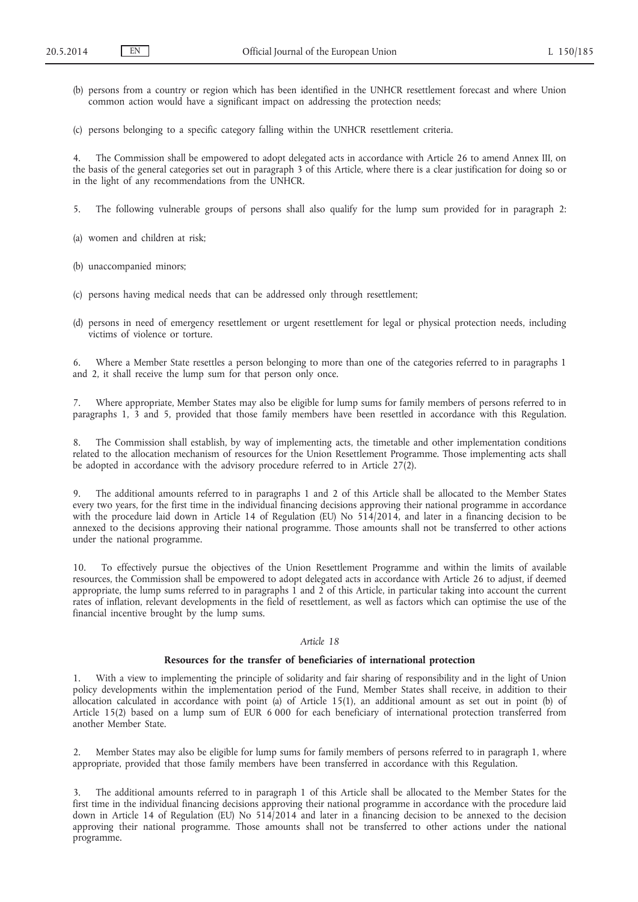- (b) persons from a country or region which has been identified in the UNHCR resettlement forecast and where Union common action would have a significant impact on addressing the protection needs;
- (c) persons belonging to a specific category falling within the UNHCR resettlement criteria.

4. The Commission shall be empowered to adopt delegated acts in accordance with Article 26 to amend Annex III, on the basis of the general categories set out in paragraph 3 of this Article, where there is a clear justification for doing so or in the light of any recommendations from the UNHCR.

- 5. The following vulnerable groups of persons shall also qualify for the lump sum provided for in paragraph 2:
- (a) women and children at risk;
- (b) unaccompanied minors;
- (c) persons having medical needs that can be addressed only through resettlement;
- (d) persons in need of emergency resettlement or urgent resettlement for legal or physical protection needs, including victims of violence or torture.

6. Where a Member State resettles a person belonging to more than one of the categories referred to in paragraphs 1 and 2, it shall receive the lump sum for that person only once.

7. Where appropriate, Member States may also be eligible for lump sums for family members of persons referred to in paragraphs 1, 3 and 5, provided that those family members have been resettled in accordance with this Regulation.

8. The Commission shall establish, by way of implementing acts, the timetable and other implementation conditions related to the allocation mechanism of resources for the Union Resettlement Programme. Those implementing acts shall be adopted in accordance with the advisory procedure referred to in Article  $27(2)$ .

9. The additional amounts referred to in paragraphs 1 and 2 of this Article shall be allocated to the Member States every two years, for the first time in the individual financing decisions approving their national programme in accordance with the procedure laid down in Article 14 of Regulation (EU) No  $514/2014$ , and later in a financing decision to be annexed to the decisions approving their national programme. Those amounts shall not be transferred to other actions under the national programme.

10. To effectively pursue the objectives of the Union Resettlement Programme and within the limits of available resources, the Commission shall be empowered to adopt delegated acts in accordance with Article 26 to adjust, if deemed appropriate, the lump sums referred to in paragraphs 1 and 2 of this Article, in particular taking into account the current rates of inflation, relevant developments in the field of resettlement, as well as factors which can optimise the use of the financial incentive brought by the lump sums.

## *Article 18*

## **Resources for the transfer of beneficiaries of international protection**

1. With a view to implementing the principle of solidarity and fair sharing of responsibility and in the light of Union policy developments within the implementation period of the Fund, Member States shall receive, in addition to their allocation calculated in accordance with point (a) of Article 15(1), an additional amount as set out in point (b) of Article 15(2) based on a lump sum of EUR 6 000 for each beneficiary of international protection transferred from another Member State.

2. Member States may also be eligible for lump sums for family members of persons referred to in paragraph 1, where appropriate, provided that those family members have been transferred in accordance with this Regulation.

3. The additional amounts referred to in paragraph 1 of this Article shall be allocated to the Member States for the first time in the individual financing decisions approving their national programme in accordance with the procedure laid down in Article 14 of Regulation (EU) No 514/2014 and later in a financing decision to be annexed to the decision approving their national programme. Those amounts shall not be transferred to other actions under the national programme.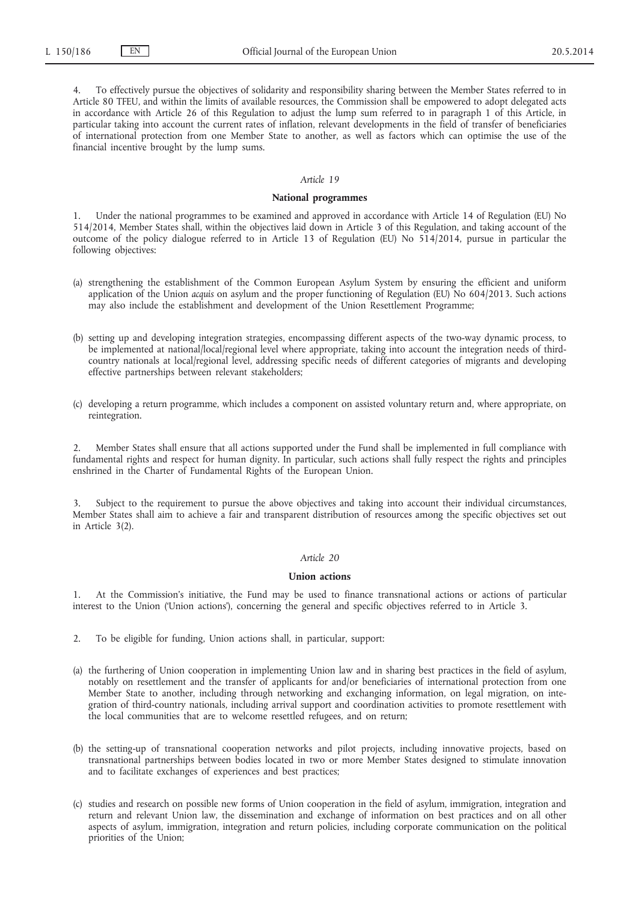4. To effectively pursue the objectives of solidarity and responsibility sharing between the Member States referred to in Article 80 TFEU, and within the limits of available resources, the Commission shall be empowered to adopt delegated acts in accordance with Article 26 of this Regulation to adjust the lump sum referred to in paragraph 1 of this Article, in particular taking into account the current rates of inflation, relevant developments in the field of transfer of beneficiaries of international protection from one Member State to another, as well as factors which can optimise the use of the financial incentive brought by the lump sums.

## *Article 19*

### **National programmes**

Under the national programmes to be examined and approved in accordance with Article 14 of Regulation (EU) No 514/2014, Member States shall, within the objectives laid down in Article 3 of this Regulation, and taking account of the outcome of the policy dialogue referred to in Article 13 of Regulation (EU) No 514/2014, pursue in particular the following objectives:

- (a) strengthening the establishment of the Common European Asylum System by ensuring the efficient and uniform application of the Union *acquis* on asylum and the proper functioning of Regulation (EU) No 604/2013. Such actions may also include the establishment and development of the Union Resettlement Programme;
- (b) setting up and developing integration strategies, encompassing different aspects of the two-way dynamic process, to be implemented at national/local/regional level where appropriate, taking into account the integration needs of thirdcountry nationals at local/regional level, addressing specific needs of different categories of migrants and developing effective partnerships between relevant stakeholders;
- (c) developing a return programme, which includes a component on assisted voluntary return and, where appropriate, on reintegration.

2. Member States shall ensure that all actions supported under the Fund shall be implemented in full compliance with fundamental rights and respect for human dignity. In particular, such actions shall fully respect the rights and principles enshrined in the Charter of Fundamental Rights of the European Union.

3. Subject to the requirement to pursue the above objectives and taking into account their individual circumstances, Member States shall aim to achieve a fair and transparent distribution of resources among the specific objectives set out in Article 3(2).

## *Article 20*

#### **Union actions**

1. At the Commission's initiative, the Fund may be used to finance transnational actions or actions of particular interest to the Union ('Union actions'), concerning the general and specific objectives referred to in Article 3.

- 2. To be eligible for funding, Union actions shall, in particular, support:
- (a) the furthering of Union cooperation in implementing Union law and in sharing best practices in the field of asylum, notably on resettlement and the transfer of applicants for and/or beneficiaries of international protection from one Member State to another, including through networking and exchanging information, on legal migration, on integration of third-country nationals, including arrival support and coordination activities to promote resettlement with the local communities that are to welcome resettled refugees, and on return;
- (b) the setting-up of transnational cooperation networks and pilot projects, including innovative projects, based on transnational partnerships between bodies located in two or more Member States designed to stimulate innovation and to facilitate exchanges of experiences and best practices;
- (c) studies and research on possible new forms of Union cooperation in the field of asylum, immigration, integration and return and relevant Union law, the dissemination and exchange of information on best practices and on all other aspects of asylum, immigration, integration and return policies, including corporate communication on the political priorities of the Union;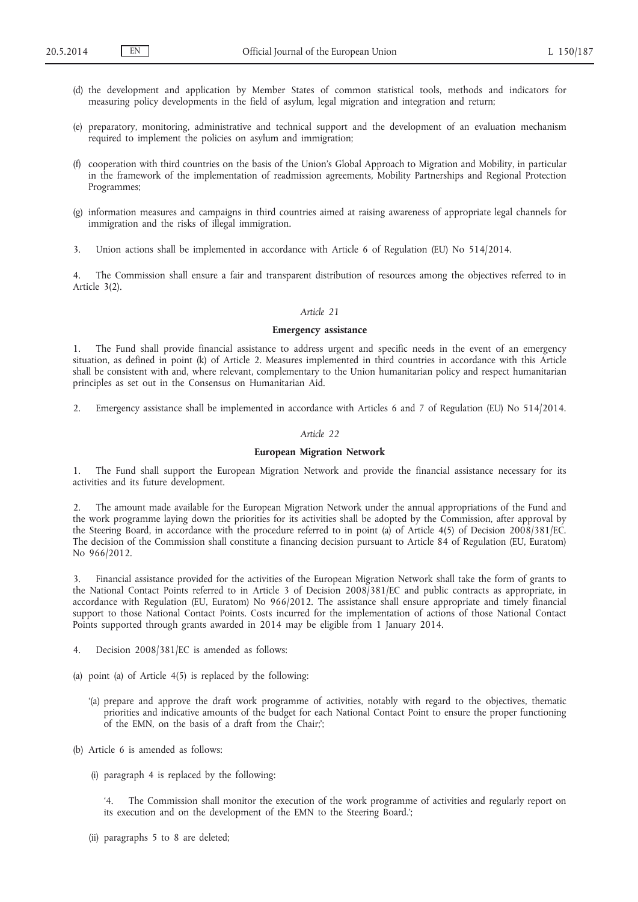- (d) the development and application by Member States of common statistical tools, methods and indicators for measuring policy developments in the field of asylum, legal migration and integration and return;
- (e) preparatory, monitoring, administrative and technical support and the development of an evaluation mechanism required to implement the policies on asylum and immigration;
- (f) cooperation with third countries on the basis of the Union's Global Approach to Migration and Mobility, in particular in the framework of the implementation of readmission agreements, Mobility Partnerships and Regional Protection Programmes;
- (g) information measures and campaigns in third countries aimed at raising awareness of appropriate legal channels for immigration and the risks of illegal immigration.
- 3. Union actions shall be implemented in accordance with Article 6 of Regulation (EU) No 514/2014.

4. The Commission shall ensure a fair and transparent distribution of resources among the objectives referred to in Article 3(2).

### *Article 21*

### **Emergency assistance**

The Fund shall provide financial assistance to address urgent and specific needs in the event of an emergency situation, as defined in point (k) of Article 2. Measures implemented in third countries in accordance with this Article shall be consistent with and, where relevant, complementary to the Union humanitarian policy and respect humanitarian principles as set out in the Consensus on Humanitarian Aid.

2. Emergency assistance shall be implemented in accordance with Articles 6 and 7 of Regulation (EU) No 514/2014.

## *Article 22*

### **European Migration Network**

1. The Fund shall support the European Migration Network and provide the financial assistance necessary for its activities and its future development.

2. The amount made available for the European Migration Network under the annual appropriations of the Fund and the work programme laying down the priorities for its activities shall be adopted by the Commission, after approval by the Steering Board, in accordance with the procedure referred to in point (a) of Article 4(5) of Decision 2008/381/EC. The decision of the Commission shall constitute a financing decision pursuant to Article 84 of Regulation (EU, Euratom) No 966/2012.

3. Financial assistance provided for the activities of the European Migration Network shall take the form of grants to the National Contact Points referred to in Article 3 of Decision 2008/381/EC and public contracts as appropriate, in accordance with Regulation (EU, Euratom) No 966/2012. The assistance shall ensure appropriate and timely financial support to those National Contact Points. Costs incurred for the implementation of actions of those National Contact Points supported through grants awarded in 2014 may be eligible from 1 January 2014.

- 4. Decision 2008/381/EC is amended as follows:
- (a) point (a) of Article 4(5) is replaced by the following:
	- '(a) prepare and approve the draft work programme of activities, notably with regard to the objectives, thematic priorities and indicative amounts of the budget for each National Contact Point to ensure the proper functioning of the EMN, on the basis of a draft from the Chair;';
- (b) Article 6 is amended as follows:
	- (i) paragraph 4 is replaced by the following:

'4. The Commission shall monitor the execution of the work programme of activities and regularly report on its execution and on the development of the EMN to the Steering Board.';

(ii) paragraphs 5 to 8 are deleted;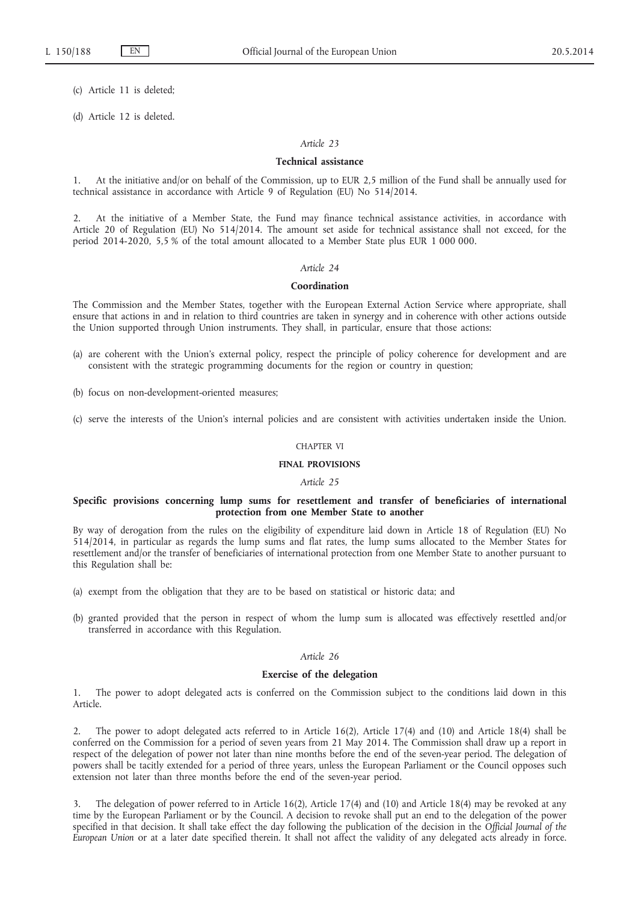(c) Article 11 is deleted;

(d) Article 12 is deleted.

### *Article 23*

#### **Technical assistance**

1. At the initiative and/or on behalf of the Commission, up to EUR 2,5 million of the Fund shall be annually used for technical assistance in accordance with Article 9 of Regulation (EU) No 514/2014.

2. At the initiative of a Member State, the Fund may finance technical assistance activities, in accordance with Article 20 of Regulation (EU) No 514/2014. The amount set aside for technical assistance shall not exceed, for the period 2014-2020, 5,5 % of the total amount allocated to a Member State plus EUR 1 000 000.

### *Article 24*

### **Coordination**

The Commission and the Member States, together with the European External Action Service where appropriate, shall ensure that actions in and in relation to third countries are taken in synergy and in coherence with other actions outside the Union supported through Union instruments. They shall, in particular, ensure that those actions:

- (a) are coherent with the Union's external policy, respect the principle of policy coherence for development and are consistent with the strategic programming documents for the region or country in question;
- (b) focus on non-development-oriented measures;
- (c) serve the interests of the Union's internal policies and are consistent with activities undertaken inside the Union.

#### CHAPTER VI

## **FINAL PROVISIONS**

#### *Article 25*

### **Specific provisions concerning lump sums for resettlement and transfer of beneficiaries of international protection from one Member State to another**

By way of derogation from the rules on the eligibility of expenditure laid down in Article 18 of Regulation (EU) No 514/2014, in particular as regards the lump sums and flat rates, the lump sums allocated to the Member States for resettlement and/or the transfer of beneficiaries of international protection from one Member State to another pursuant to this Regulation shall be:

- (a) exempt from the obligation that they are to be based on statistical or historic data; and
- (b) granted provided that the person in respect of whom the lump sum is allocated was effectively resettled and/or transferred in accordance with this Regulation.

### *Article 26*

# **Exercise of the delegation**

1. The power to adopt delegated acts is conferred on the Commission subject to the conditions laid down in this Article.

2. The power to adopt delegated acts referred to in Article 16(2), Article 17(4) and (10) and Article 18(4) shall be conferred on the Commission for a period of seven years from 21 May 2014. The Commission shall draw up a report in respect of the delegation of power not later than nine months before the end of the seven-year period. The delegation of powers shall be tacitly extended for a period of three years, unless the European Parliament or the Council opposes such extension not later than three months before the end of the seven-year period.

The delegation of power referred to in Article 16(2), Article 17(4) and (10) and Article 18(4) may be revoked at any time by the European Parliament or by the Council. A decision to revoke shall put an end to the delegation of the power specified in that decision. It shall take effect the day following the publication of the decision in the *Official Journal of the European Union* or at a later date specified therein. It shall not affect the validity of any delegated acts already in force.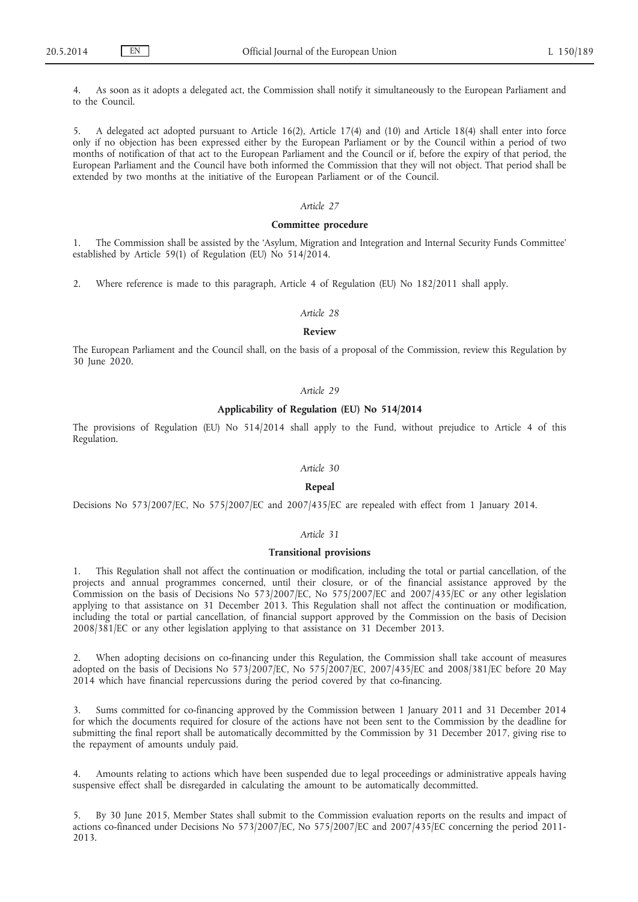4. As soon as it adopts a delegated act, the Commission shall notify it simultaneously to the European Parliament and to the Council.

5. A delegated act adopted pursuant to Article 16(2), Article 17(4) and (10) and Article 18(4) shall enter into force only if no objection has been expressed either by the European Parliament or by the Council within a period of two months of notification of that act to the European Parliament and the Council or if, before the expiry of that period, the European Parliament and the Council have both informed the Commission that they will not object. That period shall be extended by two months at the initiative of the European Parliament or of the Council.

### *Article 27*

#### **Committee procedure**

1. The Commission shall be assisted by the 'Asylum, Migration and Integration and Internal Security Funds Committee' established by Article 59(1) of Regulation (EU) No 514/2014.

2. Where reference is made to this paragraph, Article 4 of Regulation (EU) No 182/2011 shall apply.

### *Article 28*

### **Review**

The European Parliament and the Council shall, on the basis of a proposal of the Commission, review this Regulation by 30 June 2020.

#### *Article 29*

## **Applicability of Regulation (EU) No 514/2014**

The provisions of Regulation (EU) No 514/2014 shall apply to the Fund, without prejudice to Article 4 of this Regulation.

#### *Article 30*

### **Repeal**

Decisions No 573/2007/EC, No 575/2007/EC and 2007/435/EC are repealed with effect from 1 January 2014.

### *Article 31*

#### **Transitional provisions**

1. This Regulation shall not affect the continuation or modification, including the total or partial cancellation, of the projects and annual programmes concerned, until their closure, or of the financial assistance approved by the Commission on the basis of Decisions No 573/2007/EC, No 575/2007/EC and 2007/435/EC or any other legislation applying to that assistance on 31 December 2013. This Regulation shall not affect the continuation or modification, including the total or partial cancellation, of financial support approved by the Commission on the basis of Decision 2008/381/EC or any other legislation applying to that assistance on 31 December 2013.

2. When adopting decisions on co-financing under this Regulation, the Commission shall take account of measures adopted on the basis of Decisions No 573/2007/EC, No 575/2007/EC, 2007/435/EC and 2008/381/EC before 20 May 2014 which have financial repercussions during the period covered by that co-financing.

3. Sums committed for co-financing approved by the Commission between 1 January 2011 and 31 December 2014 for which the documents required for closure of the actions have not been sent to the Commission by the deadline for submitting the final report shall be automatically decommitted by the Commission by 31 December 2017, giving rise to the repayment of amounts unduly paid.

4. Amounts relating to actions which have been suspended due to legal proceedings or administrative appeals having suspensive effect shall be disregarded in calculating the amount to be automatically decommitted.

5. By 30 June 2015, Member States shall submit to the Commission evaluation reports on the results and impact of actions co-financed under Decisions No 573/2007/EC, No 575/2007/EC and 2007/435/EC concerning the period 2011- 2013.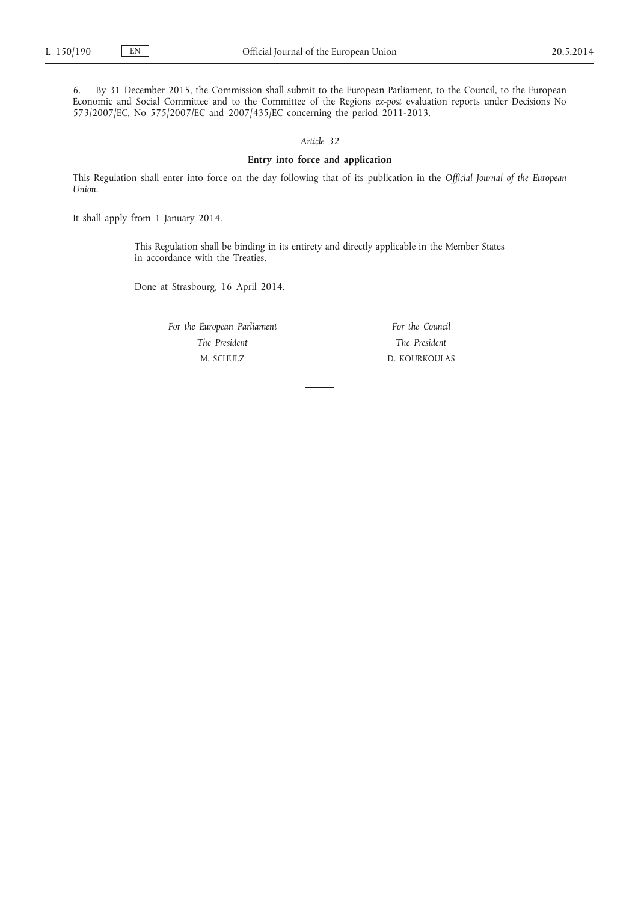6. By 31 December 2015, the Commission shall submit to the European Parliament, to the Council, to the European Economic and Social Committee and to the Committee of the Regions *ex-post* evaluation reports under Decisions No 573/2007/EC, No 575/2007/EC and 2007/435/EC concerning the period 2011-2013.

*Article 32*

## **Entry into force and application**

This Regulation shall enter into force on the day following that of its publication in the *Official Journal of the European Union*.

It shall apply from 1 January 2014.

This Regulation shall be binding in its entirety and directly applicable in the Member States in accordance with the Treaties.

Done at Strasbourg, 16 April 2014.

*For the European Parliament The President* M. SCHULZ

*For the Council The President* D. KOURKOULAS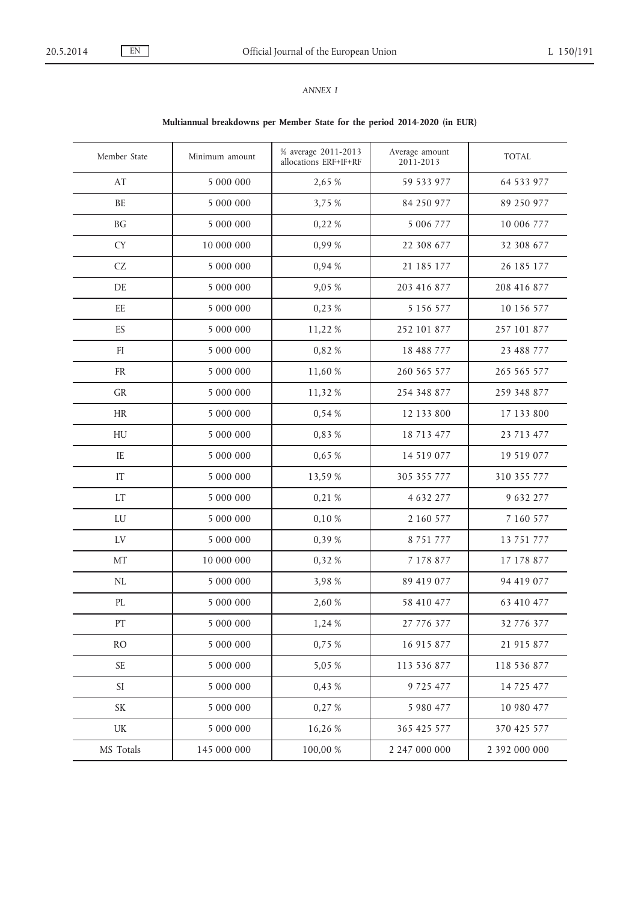## *ANNEX I*

# **Multiannual breakdowns per Member State for the period 2014-2020 (in EUR)**

| Member State               | Minimum amount | % average 2011-2013<br>allocations ERF+IF+RF | Average amount<br>2011-2013 | <b>TOTAL</b>  |
|----------------------------|----------------|----------------------------------------------|-----------------------------|---------------|
| AT                         | 5 000 000      | 2,65 %                                       | 59 533 977                  | 64 533 977    |
| BE                         | 5 000 000      | 3,75 %                                       | 84 250 977                  | 89 250 977    |
| BG                         | 5 000 000      | 0,22 %                                       | 5 006 777                   | 10 006 777    |
| <b>CY</b>                  | 10 000 000     | 0,99%                                        | 22 308 677                  | 32 308 677    |
| CZ                         | 5 000 000      | 0,94 %                                       | 21 185 177                  | 26 185 177    |
| $\rm DE$                   | 5 000 000      | 9,05 %                                       | 203 416 877                 | 208 416 877   |
| $\rm{EE}$                  | 5 000 000      | 0,23 %                                       | 5 1 5 6 5 7 7               | 10 156 577    |
| ES                         | 5 000 000      | 11,22 %                                      | 252 101 877                 | 257 101 877   |
| $\mathop{\rm FI}\nolimits$ | 5 000 000      | 0,82%                                        | 18 488 777                  | 23 488 777    |
| ${\rm FR}$                 | 5 000 000      | 11,60 %                                      | 260 565 577                 | 265 565 577   |
| GR                         | 5 000 000      | 11,32 %                                      | 254 348 877                 | 259 348 877   |
| <b>HR</b>                  | 5 000 000      | 0,54 %                                       | 12 133 800                  | 17 133 800    |
| HU                         | 5 000 000      | 0,83 %                                       | 18 713 477                  | 23 713 477    |
| $\rm IE$                   | 5 000 000      | 0,65 %                                       | 14 519 077                  | 19 519 077    |
| IT                         | 5 000 000      | 13,59 %                                      | 305 355 777                 | 310 355 777   |
| <b>LT</b>                  | 5 000 000      | 0,21 %                                       | 4 632 277                   | 9 632 277     |
| LU                         | 5 000 000      | 0,10 %                                       | 2 160 577                   | 7 160 577     |
| $\mathop{\rm LV}$          | 5 000 000      | 0,39 %                                       | 8 7 5 1 7 7 7               | 13 751 777    |
| MT                         | 10 000 000     | 0,32%                                        | 7 178 877                   | 17 178 877    |
| $\rm NL$                   | 5 000 000      | 3,98 %                                       | 89 419 077                  | 94 419 077    |
| PL                         | 5 000 000      | 2,60 %                                       | 58 410 477                  | 63 410 477    |
| PT                         | 5 000 000      | 1,24 %                                       | 27 776 377                  | 32 776 377    |
| <b>RO</b>                  | 5 000 000      | 0,75 %                                       | 16 915 877                  | 21 915 877    |
| $\ensuremath{\mathsf{SE}}$ | 5 000 000      | 5,05 %                                       | 113 536 877                 | 118 536 877   |
| SI                         | 5 000 000      | 0,43 %                                       | 9 7 2 5 4 7 7               | 14 7 25 4 77  |
| SK                         | 5 000 000      | 0,27 %                                       | 5 980 477                   | 10 980 477    |
| UK                         | 5 000 000      | 16,26 %                                      | 365 425 577                 | 370 425 577   |
| MS Totals                  | 145 000 000    | 100,00 %                                     | 2 247 000 000               | 2 392 000 000 |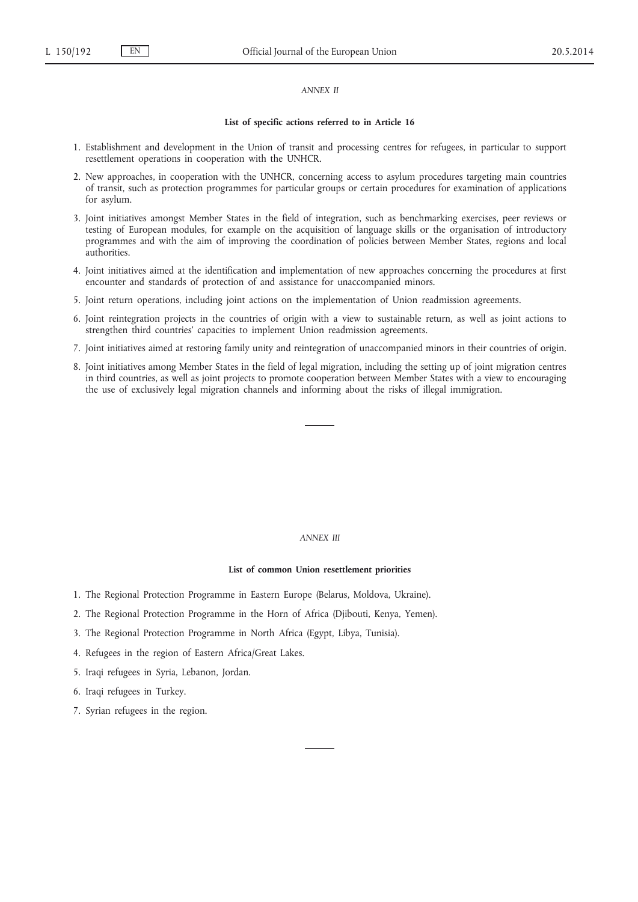### *ANNEX II*

### **List of specific actions referred to in Article 16**

- 1. Establishment and development in the Union of transit and processing centres for refugees, in particular to support resettlement operations in cooperation with the UNHCR.
- 2. New approaches, in cooperation with the UNHCR, concerning access to asylum procedures targeting main countries of transit, such as protection programmes for particular groups or certain procedures for examination of applications for asylum.
- 3. Joint initiatives amongst Member States in the field of integration, such as benchmarking exercises, peer reviews or testing of European modules, for example on the acquisition of language skills or the organisation of introductory programmes and with the aim of improving the coordination of policies between Member States, regions and local authorities.
- 4. Joint initiatives aimed at the identification and implementation of new approaches concerning the procedures at first encounter and standards of protection of and assistance for unaccompanied minors.
- 5. Joint return operations, including joint actions on the implementation of Union readmission agreements.
- 6. Joint reintegration projects in the countries of origin with a view to sustainable return, as well as joint actions to strengthen third countries' capacities to implement Union readmission agreements.
- 7. Joint initiatives aimed at restoring family unity and reintegration of unaccompanied minors in their countries of origin.
- 8. Joint initiatives among Member States in the field of legal migration, including the setting up of joint migration centres in third countries, as well as joint projects to promote cooperation between Member States with a view to encouraging the use of exclusively legal migration channels and informing about the risks of illegal immigration.

#### *ANNEX III*

#### **List of common Union resettlement priorities**

- 1. The Regional Protection Programme in Eastern Europe (Belarus, Moldova, Ukraine).
- 2. The Regional Protection Programme in the Horn of Africa (Djibouti, Kenya, Yemen).
- 3. The Regional Protection Programme in North Africa (Egypt, Libya, Tunisia).
- 4. Refugees in the region of Eastern Africa/Great Lakes.
- 5. Iraqi refugees in Syria, Lebanon, Jordan.
- 6. Iraqi refugees in Turkey.
- 7. Syrian refugees in the region.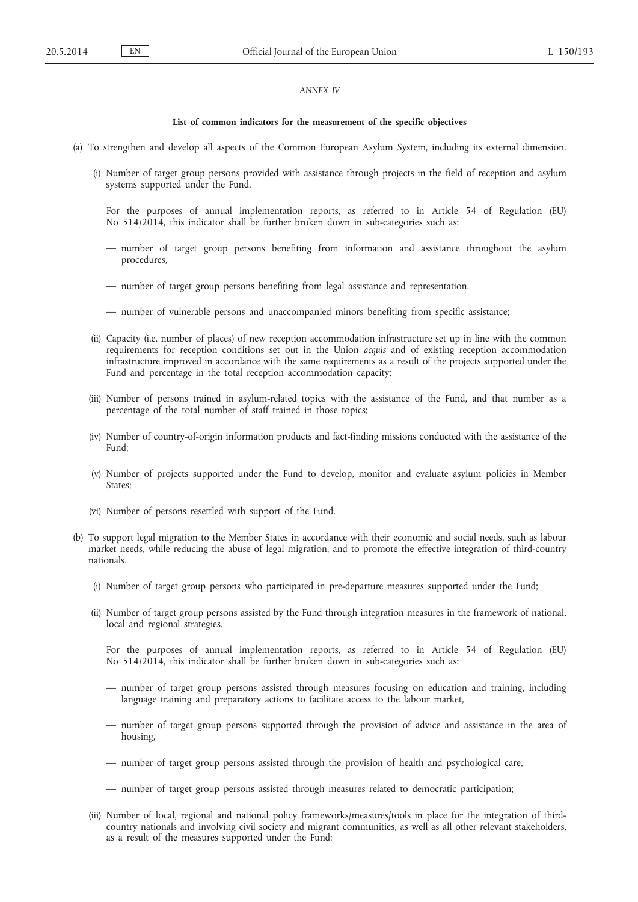### *ANNEX IV*

#### **List of common indicators for the measurement of the specific objectives**

- (a) To strengthen and develop all aspects of the Common European Asylum System, including its external dimension.
	- (i) Number of target group persons provided with assistance through projects in the field of reception and asylum systems supported under the Fund.
		- For the purposes of annual implementation reports, as referred to in Article 54 of Regulation (EU) No 514/2014, this indicator shall be further broken down in sub-categories such as:
		- number of target group persons benefiting from information and assistance throughout the asylum procedures,
		- number of target group persons benefiting from legal assistance and representation,
		- number of vulnerable persons and unaccompanied minors benefiting from specific assistance;
	- (ii) Capacity (i.e. number of places) of new reception accommodation infrastructure set up in line with the common requirements for reception conditions set out in the Union *acquis* and of existing reception accommodation infrastructure improved in accordance with the same requirements as a result of the projects supported under the Fund and percentage in the total reception accommodation capacity;
	- (iii) Number of persons trained in asylum-related topics with the assistance of the Fund, and that number as a percentage of the total number of staff trained in those topics;
	- (iv) Number of country-of-origin information products and fact-finding missions conducted with the assistance of the Fund;
	- (v) Number of projects supported under the Fund to develop, monitor and evaluate asylum policies in Member States;
	- (vi) Number of persons resettled with support of the Fund.
- (b) To support legal migration to the Member States in accordance with their economic and social needs, such as labour market needs, while reducing the abuse of legal migration, and to promote the effective integration of third-country nationals.
	- (i) Number of target group persons who participated in pre-departure measures supported under the Fund;
	- (ii) Number of target group persons assisted by the Fund through integration measures in the framework of national, local and regional strategies.

For the purposes of annual implementation reports, as referred to in Article 54 of Regulation (EU) No 514/2014, this indicator shall be further broken down in sub-categories such as:

- number of target group persons assisted through measures focusing on education and training, including language training and preparatory actions to facilitate access to the labour market,
- number of target group persons supported through the provision of advice and assistance in the area of housing,
- number of target group persons assisted through the provision of health and psychological care,
- number of target group persons assisted through measures related to democratic participation;
- (iii) Number of local, regional and national policy frameworks/measures/tools in place for the integration of thirdcountry nationals and involving civil society and migrant communities, as well as all other relevant stakeholders, as a result of the measures supported under the Fund;